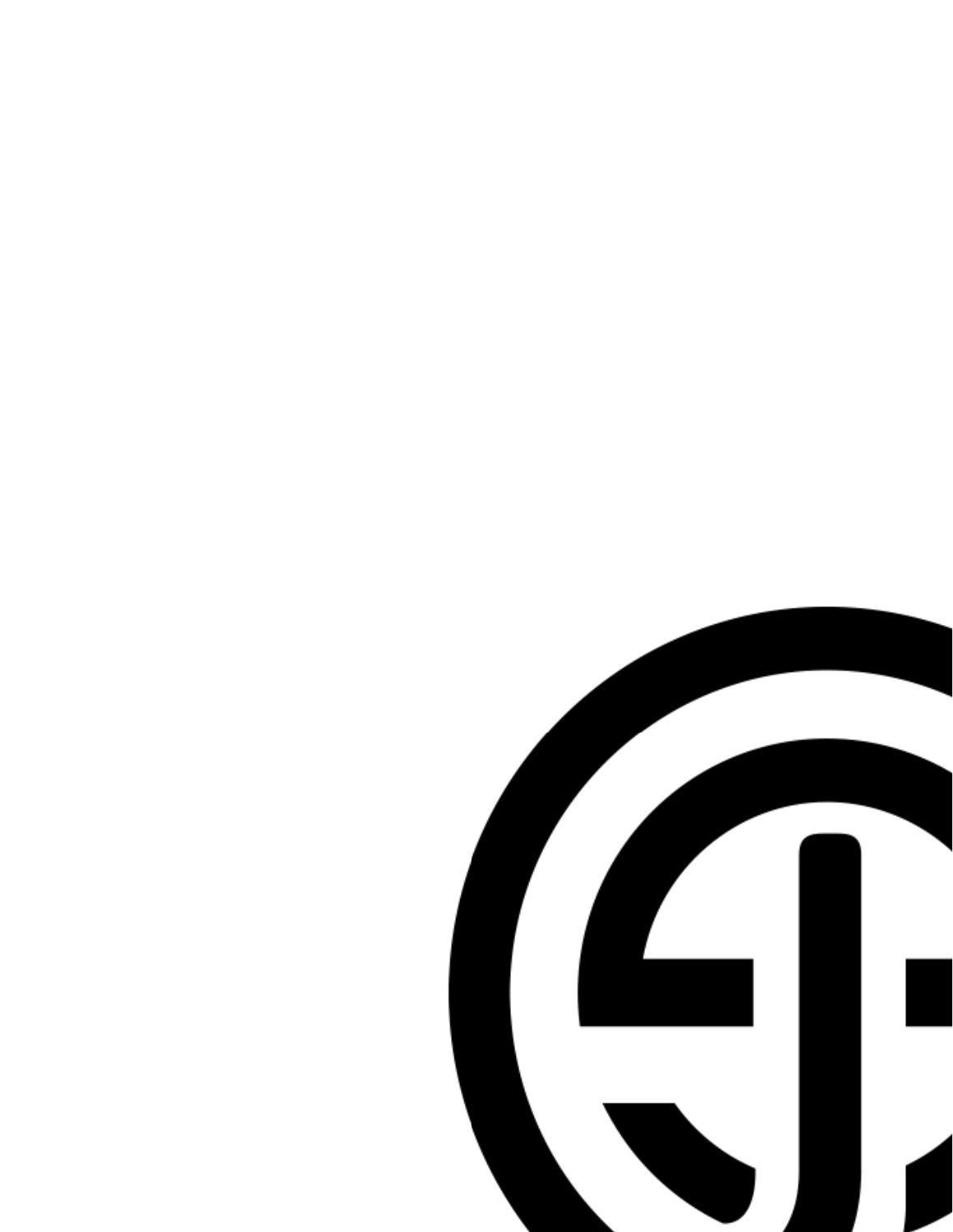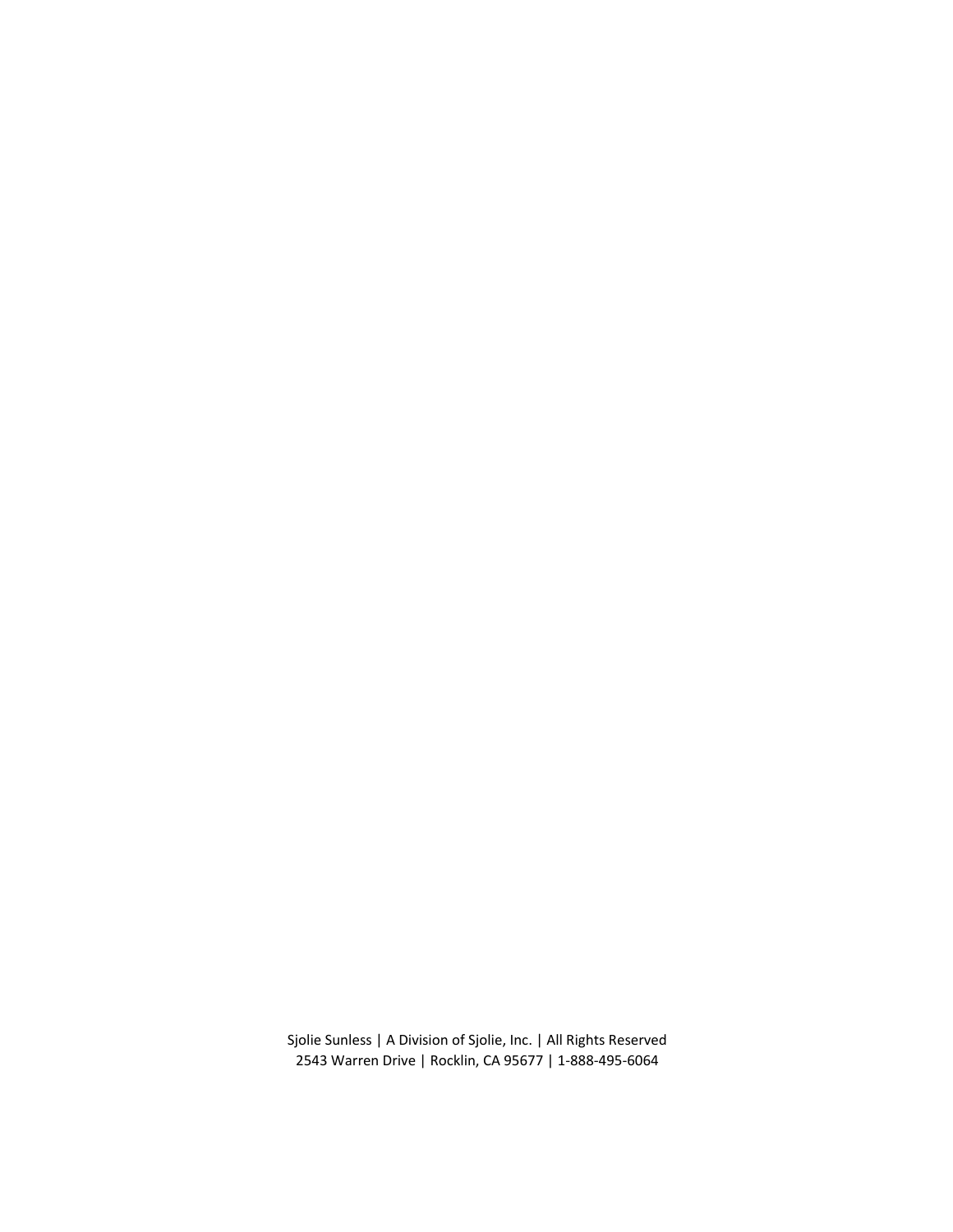Sjolie Sunless | A Division of Sjolie, Inc. | All Rights Reserved 2543 Warren Drive | Rocklin, CA 95677 | 1-888-495-6064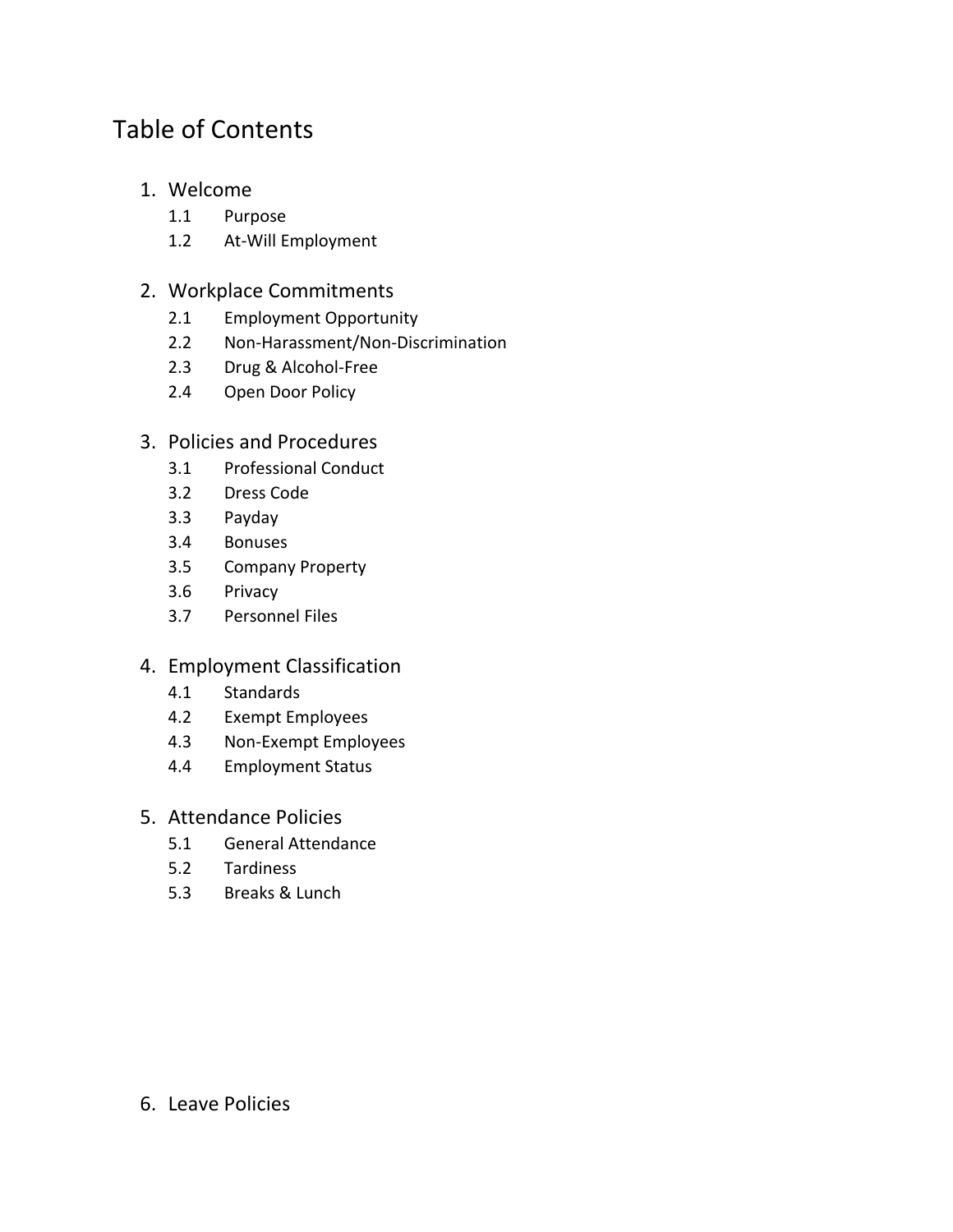# Table of Contents

- 1. Welcome
	- 1.1 Purpose
	- 1.2 At-Will Employment
- 2. Workplace Commitments
	- 2.1 Employment Opportunity
	- 2.2 Non-Harassment/Non-Discrimination
	- 2.3 Drug & Alcohol-Free
	- 2.4 Open Door Policy

#### 3. Policies and Procedures

- 3.1 Professional Conduct
- 3.2 Dress Code
- 3.3 Payday
- 3.4 Bonuses
- 3.5 Company Property
- 3.6 Privacy
- 3.7 Personnel Files

# 4. Employment Classification

- 4.1 Standards
- 4.2 Exempt Employees
- 4.3 Non-Exempt Employees
- 4.4 Employment Status

### 5. Attendance Policies

- 5.1 General Attendance
- 5.2 Tardiness
- 5.3 Breaks & Lunch

### 6. Leave Policies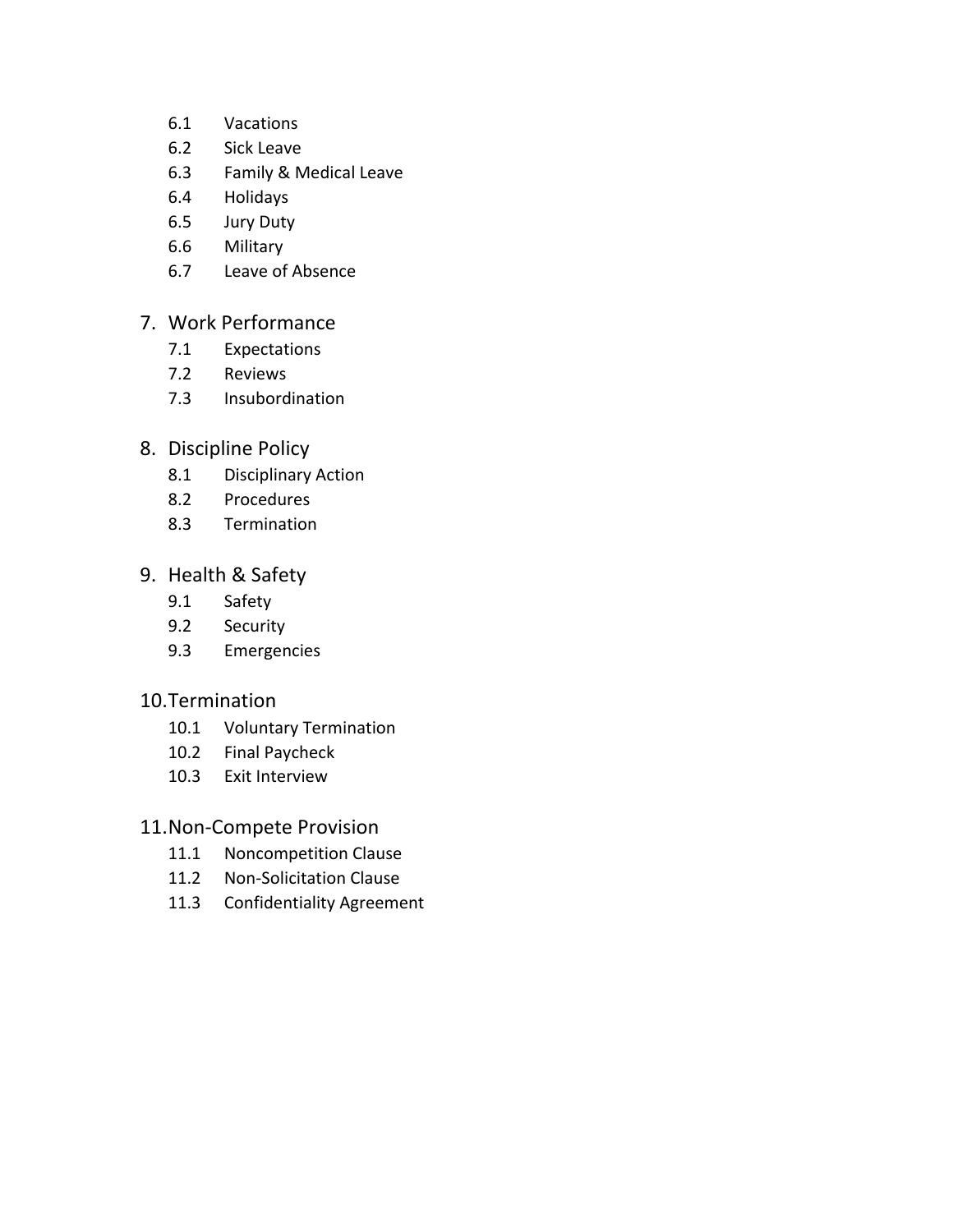- 6.1 Vacations
- 6.2 Sick Leave
- 6.3 Family & Medical Leave
- 6.4 Holidays
- 6.5 Jury Duty
- 6.6 Military
- 6.7 Leave of Absence

### 7. Work Performance

- 7.1 Expectations
- 7.2 Reviews
- 7.3 Insubordination
- 8. Discipline Policy
	- 8.1 Disciplinary Action
	- 8.2 Procedures
	- 8.3 Termination

# 9. Health & Safety

- 9.1 Safety
- 9.2 Security
- 9.3 Emergencies

### 10.Termination

- 10.1 Voluntary Termination
- 10.2 Final Paycheck
- 10.3 Exit Interview

### 11.Non-Compete Provision

- 11.1 Noncompetition Clause
- 11.2 Non-Solicitation Clause
- 11.3 Confidentiality Agreement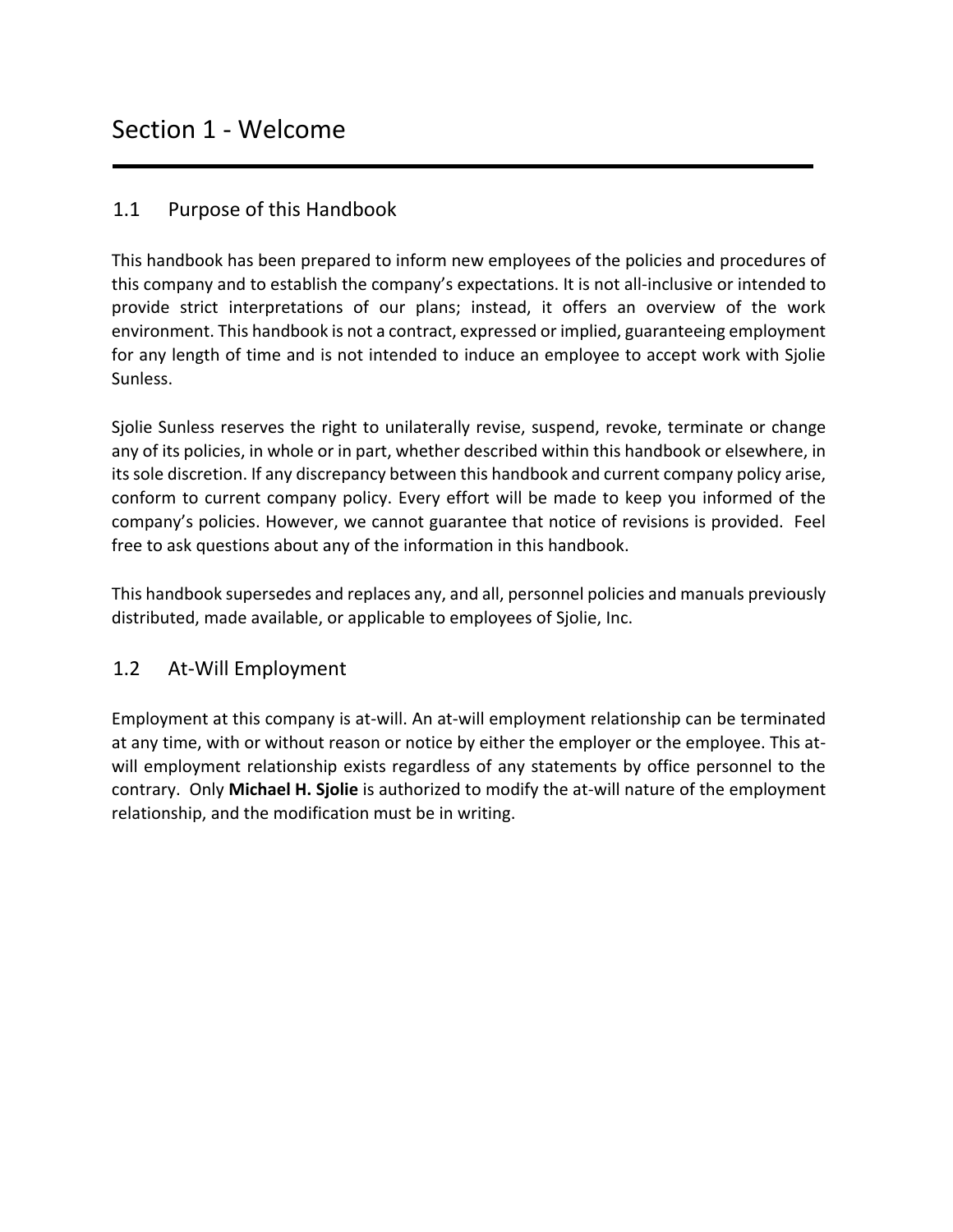# 1.1 Purpose of this Handbook

This handbook has been prepared to inform new employees of the policies and procedures of this company and to establish the company's expectations. It is not all-inclusive or intended to provide strict interpretations of our plans; instead, it offers an overview of the work environment. This handbook is not a contract, expressed or implied, guaranteeing employment for any length of time and is not intended to induce an employee to accept work with Sjolie Sunless.

Sjolie Sunless reserves the right to unilaterally revise, suspend, revoke, terminate or change any of its policies, in whole or in part, whether described within this handbook or elsewhere, in its sole discretion. If any discrepancy between this handbook and current company policy arise, conform to current company policy. Every effort will be made to keep you informed of the company's policies. However, we cannot guarantee that notice of revisions is provided. Feel free to ask questions about any of the information in this handbook.

This handbook supersedes and replaces any, and all, personnel policies and manuals previously distributed, made available, or applicable to employees of Sjolie, Inc.

### 1.2 At-Will Employment

Employment at this company is at-will. An at-will employment relationship can be terminated at any time, with or without reason or notice by either the employer or the employee. This atwill employment relationship exists regardless of any statements by office personnel to the contrary. Only **Michael H. Sjolie** is authorized to modify the at-will nature of the employment relationship, and the modification must be in writing.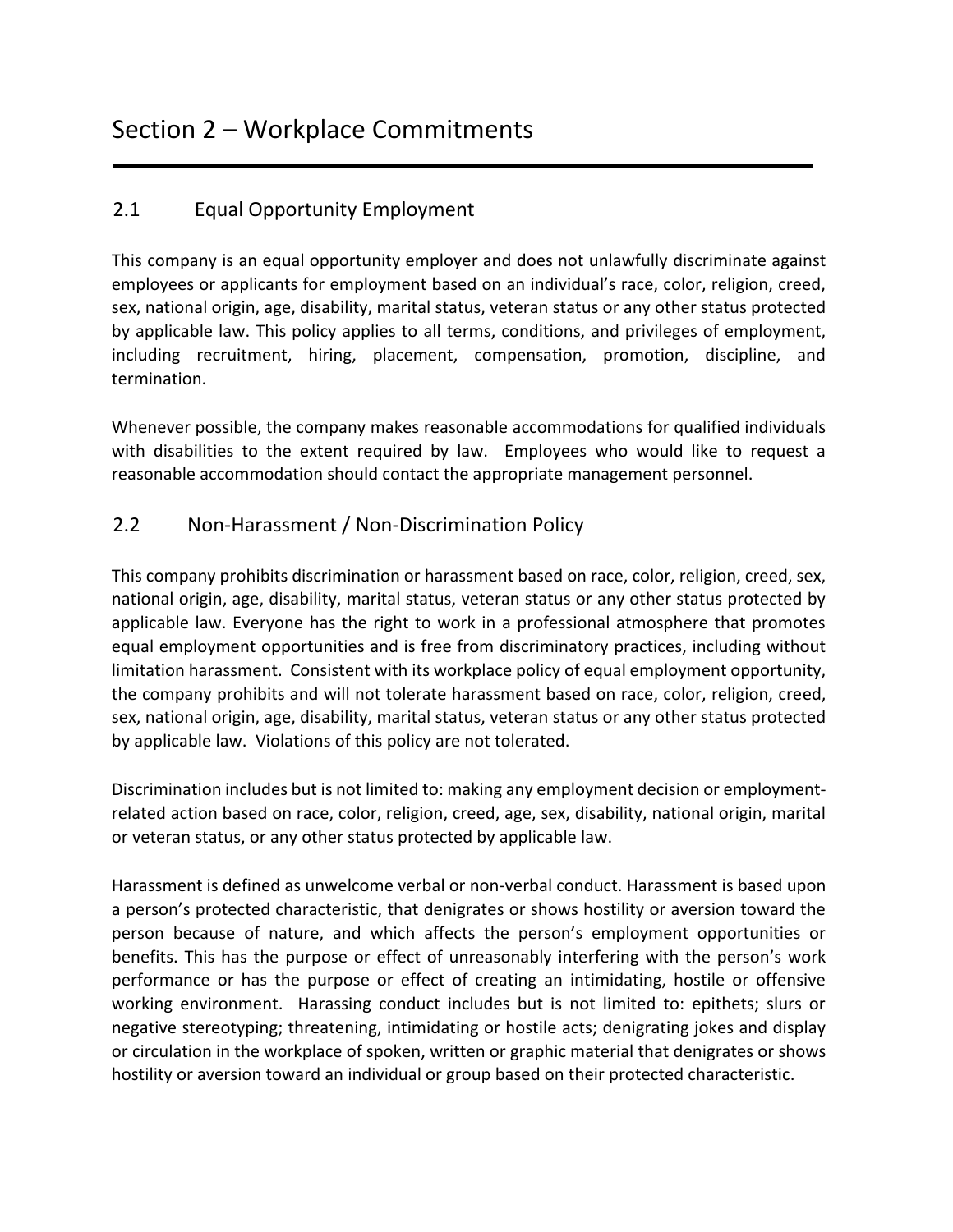# 2.1 Equal Opportunity Employment

This company is an equal opportunity employer and does not unlawfully discriminate against employees or applicants for employment based on an individual's race, color, religion, creed, sex, national origin, age, disability, marital status, veteran status or any other status protected by applicable law. This policy applies to all terms, conditions, and privileges of employment, including recruitment, hiring, placement, compensation, promotion, discipline, and termination.

Whenever possible, the company makes reasonable accommodations for qualified individuals with disabilities to the extent required by law. Employees who would like to request a reasonable accommodation should contact the appropriate management personnel.

# 2.2 Non-Harassment / Non-Discrimination Policy

This company prohibits discrimination or harassment based on race, color, religion, creed, sex, national origin, age, disability, marital status, veteran status or any other status protected by applicable law. Everyone has the right to work in a professional atmosphere that promotes equal employment opportunities and is free from discriminatory practices, including without limitation harassment. Consistent with its workplace policy of equal employment opportunity, the company prohibits and will not tolerate harassment based on race, color, religion, creed, sex, national origin, age, disability, marital status, veteran status or any other status protected by applicable law. Violations of this policy are not tolerated.

Discrimination includes but is not limited to: making any employment decision or employmentrelated action based on race, color, religion, creed, age, sex, disability, national origin, marital or veteran status, or any other status protected by applicable law.

Harassment is defined as unwelcome verbal or non-verbal conduct. Harassment is based upon a person's protected characteristic, that denigrates or shows hostility or aversion toward the person because of nature, and which affects the person's employment opportunities or benefits. This has the purpose or effect of unreasonably interfering with the person's work performance or has the purpose or effect of creating an intimidating, hostile or offensive working environment. Harassing conduct includes but is not limited to: epithets; slurs or negative stereotyping; threatening, intimidating or hostile acts; denigrating jokes and display or circulation in the workplace of spoken, written or graphic material that denigrates or shows hostility or aversion toward an individual or group based on their protected characteristic.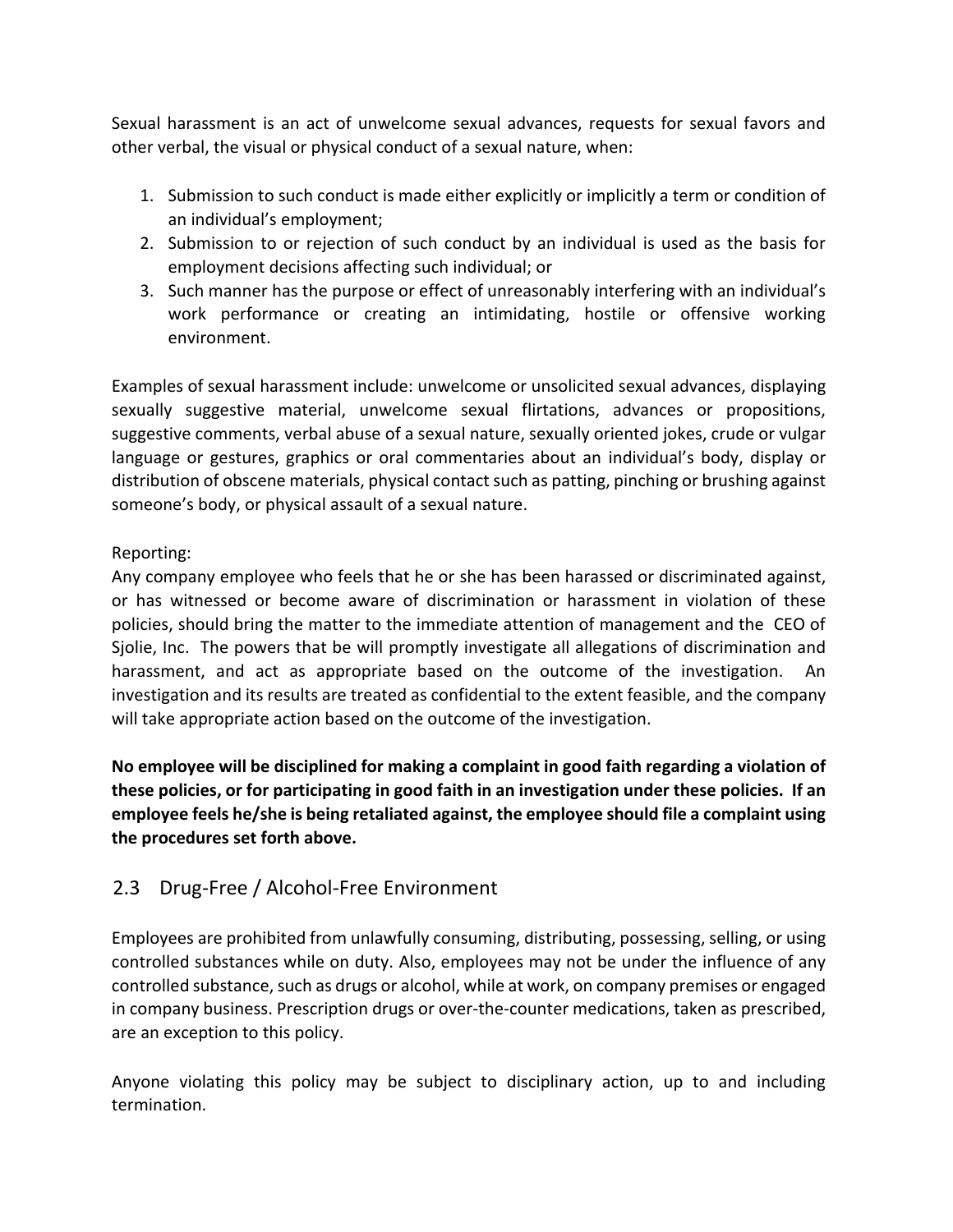Sexual harassment is an act of unwelcome sexual advances, requests for sexual favors and other verbal, the visual or physical conduct of a sexual nature, when:

- 1. Submission to such conduct is made either explicitly or implicitly a term or condition of an individual's employment;
- 2. Submission to or rejection of such conduct by an individual is used as the basis for employment decisions affecting such individual; or
- 3. Such manner has the purpose or effect of unreasonably interfering with an individual's work performance or creating an intimidating, hostile or offensive working environment.

Examples of sexual harassment include: unwelcome or unsolicited sexual advances, displaying sexually suggestive material, unwelcome sexual flirtations, advances or propositions, suggestive comments, verbal abuse of a sexual nature, sexually oriented jokes, crude or vulgar language or gestures, graphics or oral commentaries about an individual's body, display or distribution of obscene materials, physical contact such as patting, pinching or brushing against someone's body, or physical assault of a sexual nature.

#### Reporting:

Any company employee who feels that he or she has been harassed or discriminated against, or has witnessed or become aware of discrimination or harassment in violation of these policies, should bring the matter to the immediate attention of management and the CEO of Sjolie, Inc. The powers that be will promptly investigate all allegations of discrimination and harassment, and act as appropriate based on the outcome of the investigation. An investigation and its results are treated as confidential to the extent feasible, and the company will take appropriate action based on the outcome of the investigation.

**No employee will be disciplined for making a complaint in good faith regarding a violation of these policies, or for participating in good faith in an investigation under these policies. If an employee feels he/she is being retaliated against, the employee should file a complaint using the procedures set forth above.** 

# 2.3 Drug-Free / Alcohol-Free Environment

Employees are prohibited from unlawfully consuming, distributing, possessing, selling, or using controlled substances while on duty. Also, employees may not be under the influence of any controlled substance, such as drugs or alcohol, while at work, on company premises or engaged in company business. Prescription drugs or over-the-counter medications, taken as prescribed, are an exception to this policy.

Anyone violating this policy may be subject to disciplinary action, up to and including termination.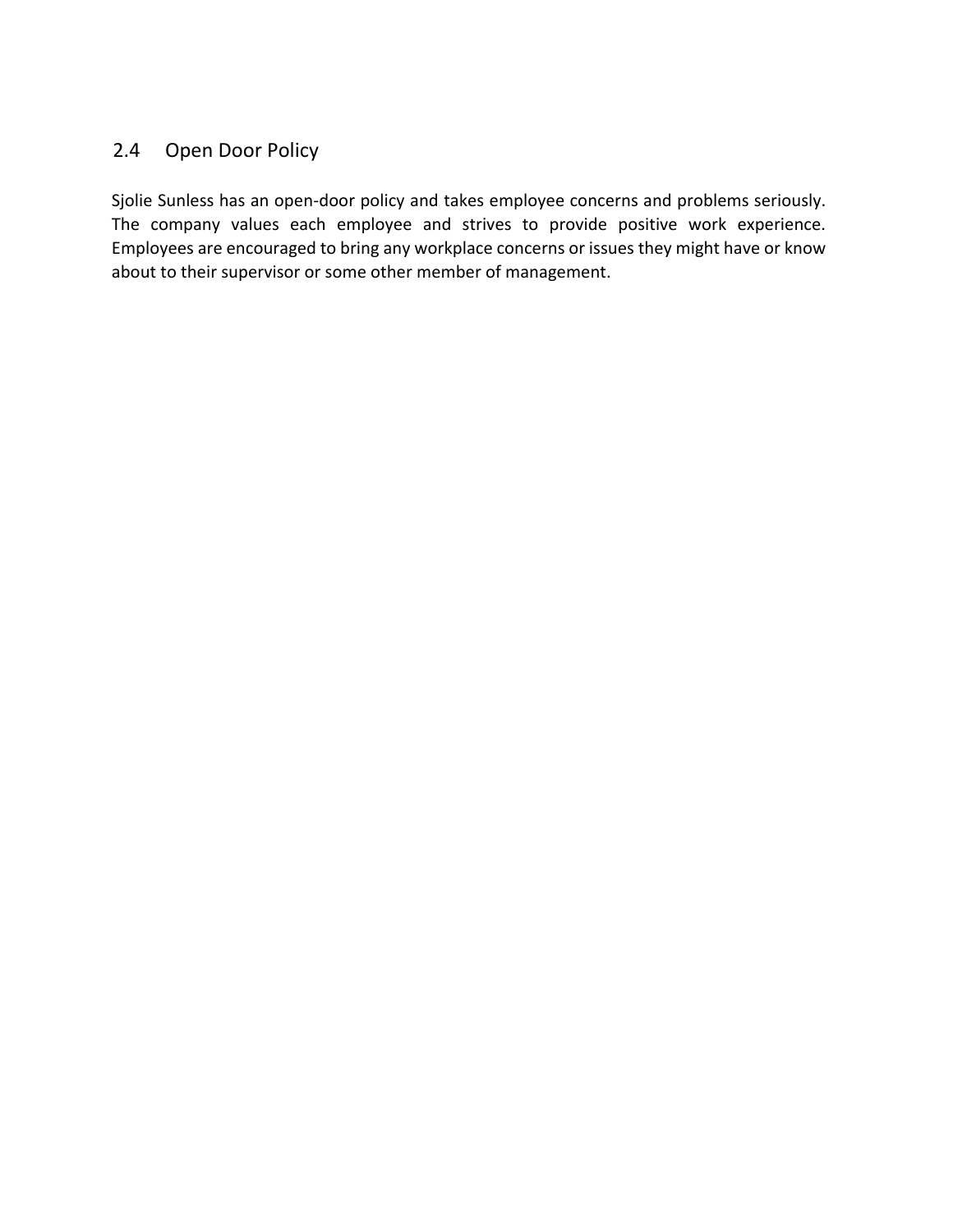# 2.4 Open Door Policy

Sjolie Sunless has an open-door policy and takes employee concerns and problems seriously. The company values each employee and strives to provide positive work experience. Employees are encouraged to bring any workplace concerns or issues they might have or know about to their supervisor or some other member of management.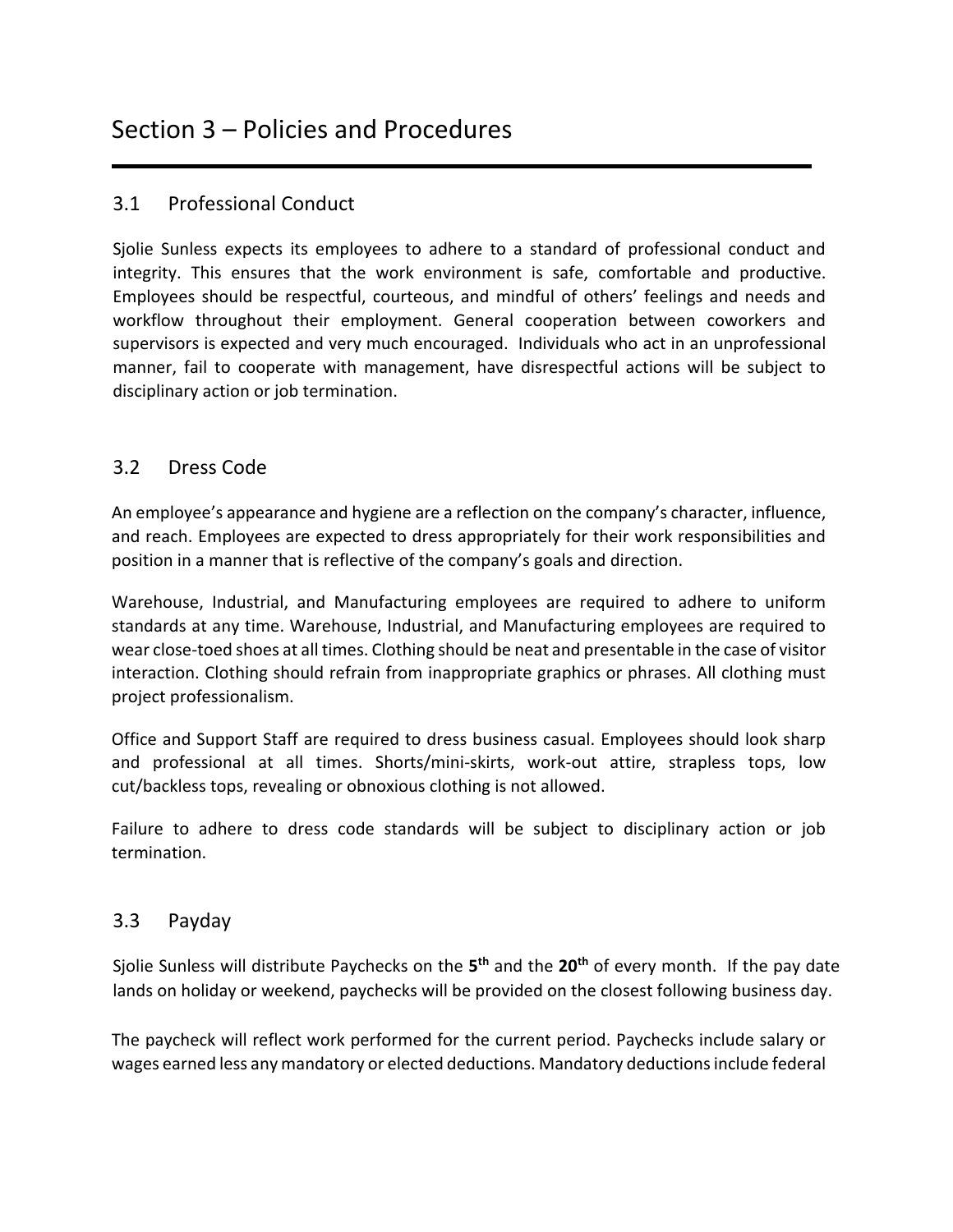# 3.1 Professional Conduct

Sjolie Sunless expects its employees to adhere to a standard of professional conduct and integrity. This ensures that the work environment is safe, comfortable and productive. Employees should be respectful, courteous, and mindful of others' feelings and needs and workflow throughout their employment. General cooperation between coworkers and supervisors is expected and very much encouraged. Individuals who act in an unprofessional manner, fail to cooperate with management, have disrespectful actions will be subject to disciplinary action or job termination.

# 3.2 Dress Code

An employee's appearance and hygiene are a reflection on the company's character, influence, and reach. Employees are expected to dress appropriately for their work responsibilities and position in a manner that is reflective of the company's goals and direction.

Warehouse, Industrial, and Manufacturing employees are required to adhere to uniform standards at any time. Warehouse, Industrial, and Manufacturing employees are required to wear close-toed shoes at all times. Clothing should be neat and presentable in the case of visitor interaction. Clothing should refrain from inappropriate graphics or phrases. All clothing must project professionalism.

Office and Support Staff are required to dress business casual. Employees should look sharp and professional at all times. Shorts/mini-skirts, work-out attire, strapless tops, low cut/backless tops, revealing or obnoxious clothing is not allowed.

Failure to adhere to dress code standards will be subject to disciplinary action or job termination.

### 3.3 Payday

Sjolie Sunless will distribute Paychecks on the **5 th** and the **20th** of every month. If the pay date lands on holiday or weekend, paychecks will be provided on the closest following business day.

The paycheck will reflect work performed for the current period. Paychecks include salary or wages earned less any mandatory or elected deductions. Mandatory deductions include federal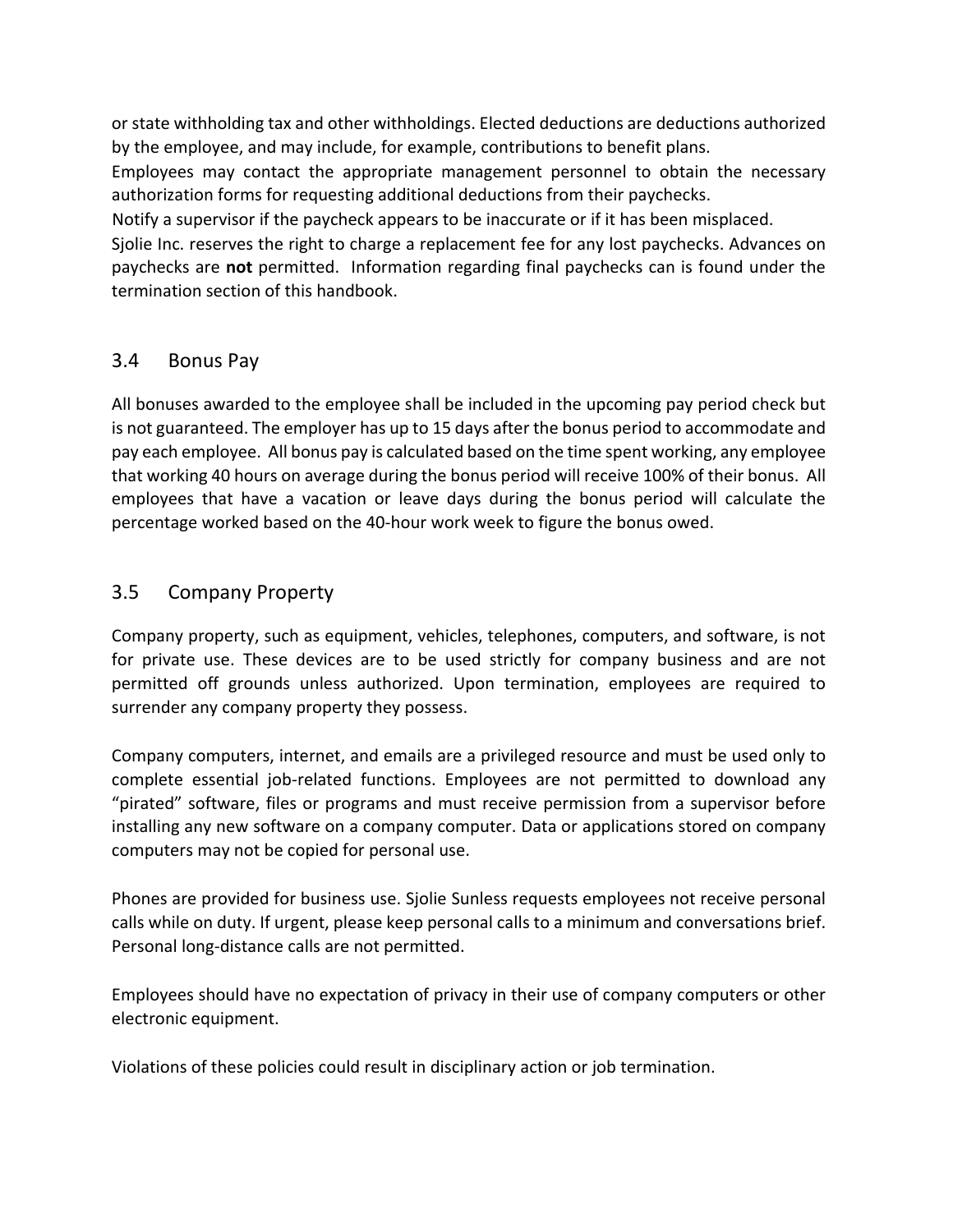or state withholding tax and other withholdings. Elected deductions are deductions authorized by the employee, and may include, for example, contributions to benefit plans.

Employees may contact the appropriate management personnel to obtain the necessary authorization forms for requesting additional deductions from their paychecks.

Notify a supervisor if the paycheck appears to be inaccurate or if it has been misplaced.

Sjolie Inc. reserves the right to charge a replacement fee for any lost paychecks. Advances on paychecks are **not** permitted. Information regarding final paychecks can is found under the termination section of this handbook.

# 3.4 Bonus Pay

All bonuses awarded to the employee shall be included in the upcoming pay period check but is not guaranteed. The employer has up to 15 days after the bonus period to accommodate and pay each employee. All bonus pay is calculated based on the time spent working, any employee that working 40 hours on average during the bonus period will receive 100% of their bonus. All employees that have a vacation or leave days during the bonus period will calculate the percentage worked based on the 40-hour work week to figure the bonus owed.

# 3.5 Company Property

Company property, such as equipment, vehicles, telephones, computers, and software, is not for private use. These devices are to be used strictly for company business and are not permitted off grounds unless authorized. Upon termination, employees are required to surrender any company property they possess.

Company computers, internet, and emails are a privileged resource and must be used only to complete essential job-related functions. Employees are not permitted to download any "pirated" software, files or programs and must receive permission from a supervisor before installing any new software on a company computer. Data or applications stored on company computers may not be copied for personal use.

Phones are provided for business use. Sjolie Sunless requests employees not receive personal calls while on duty. If urgent, please keep personal calls to a minimum and conversations brief. Personal long-distance calls are not permitted.

Employees should have no expectation of privacy in their use of company computers or other electronic equipment.

Violations of these policies could result in disciplinary action or job termination.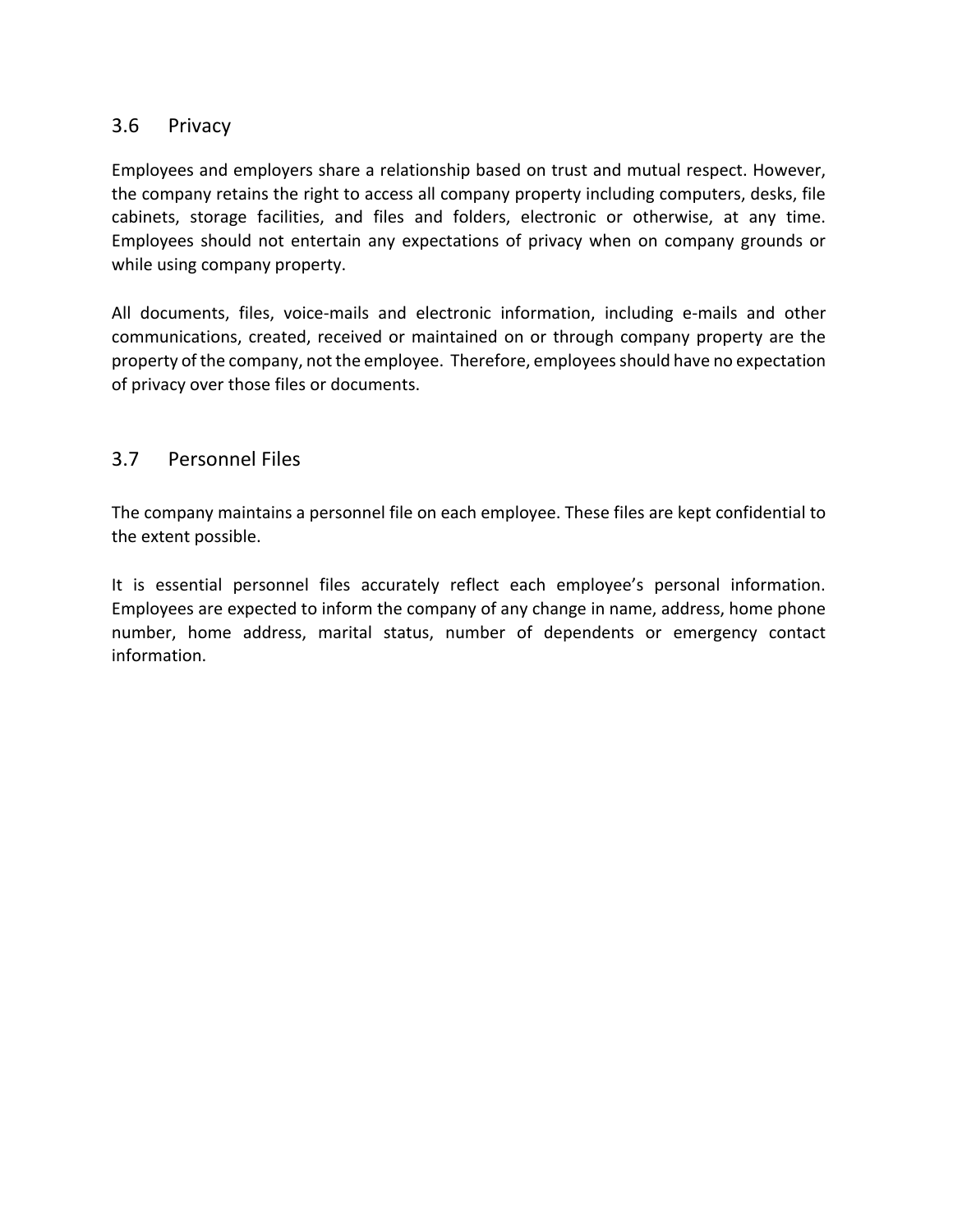### 3.6 Privacy

Employees and employers share a relationship based on trust and mutual respect. However, the company retains the right to access all company property including computers, desks, file cabinets, storage facilities, and files and folders, electronic or otherwise, at any time. Employees should not entertain any expectations of privacy when on company grounds or while using company property.

All documents, files, voice-mails and electronic information, including e-mails and other communications, created, received or maintained on or through company property are the property of the company, not the employee. Therefore, employees should have no expectation of privacy over those files or documents.

#### 3.7 Personnel Files

The company maintains a personnel file on each employee. These files are kept confidential to the extent possible.

It is essential personnel files accurately reflect each employee's personal information. Employees are expected to inform the company of any change in name, address, home phone number, home address, marital status, number of dependents or emergency contact information.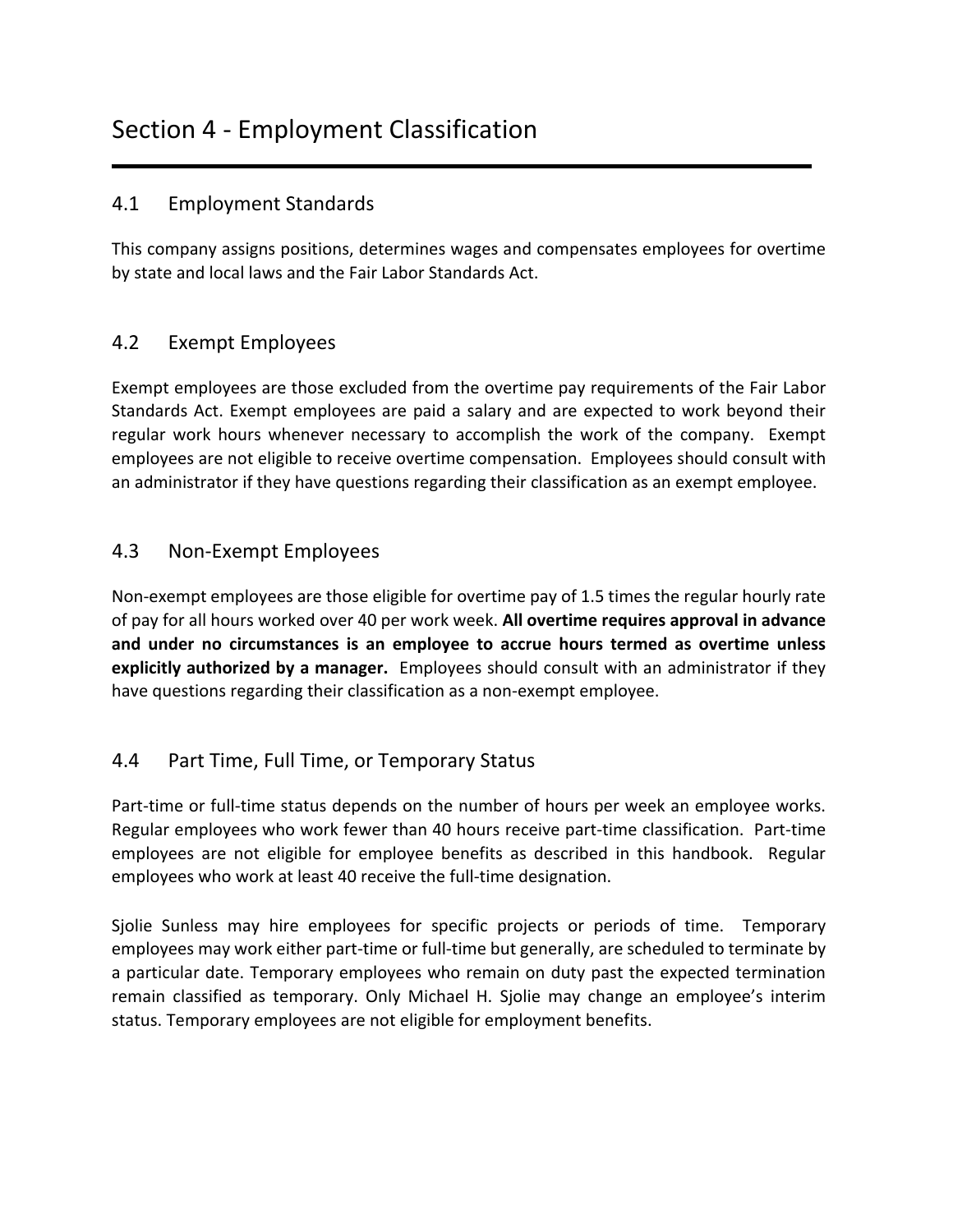### 4.1 Employment Standards

This company assigns positions, determines wages and compensates employees for overtime by state and local laws and the Fair Labor Standards Act.

# 4.2 Exempt Employees

Exempt employees are those excluded from the overtime pay requirements of the Fair Labor Standards Act. Exempt employees are paid a salary and are expected to work beyond their regular work hours whenever necessary to accomplish the work of the company. Exempt employees are not eligible to receive overtime compensation. Employees should consult with an administrator if they have questions regarding their classification as an exempt employee.

# 4.3 Non-Exempt Employees

Non-exempt employees are those eligible for overtime pay of 1.5 times the regular hourly rate of pay for all hours worked over 40 per work week. **All overtime requires approval in advance and under no circumstances is an employee to accrue hours termed as overtime unless explicitly authorized by a manager.** Employees should consult with an administrator if they have questions regarding their classification as a non-exempt employee.

# 4.4 Part Time, Full Time, or Temporary Status

Part-time or full-time status depends on the number of hours per week an employee works. Regular employees who work fewer than 40 hours receive part-time classification. Part-time employees are not eligible for employee benefits as described in this handbook. Regular employees who work at least 40 receive the full-time designation.

Sjolie Sunless may hire employees for specific projects or periods of time. Temporary employees may work either part-time or full-time but generally, are scheduled to terminate by a particular date. Temporary employees who remain on duty past the expected termination remain classified as temporary. Only Michael H. Sjolie may change an employee's interim status. Temporary employees are not eligible for employment benefits.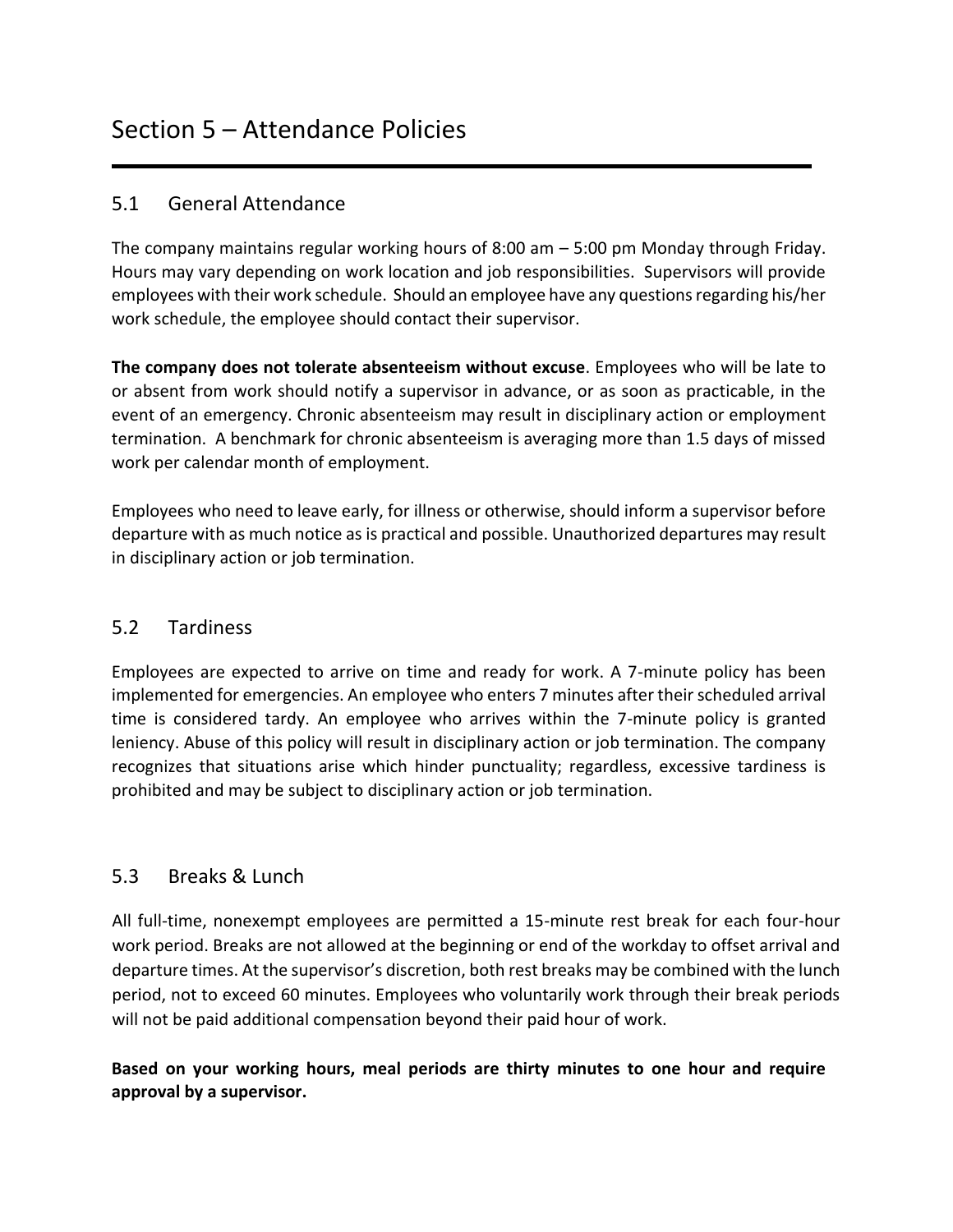### 5.1 General Attendance

The company maintains regular working hours of 8:00 am – 5:00 pm Monday through Friday. Hours may vary depending on work location and job responsibilities. Supervisors will provide employees with their work schedule. Should an employee have any questions regarding his/her work schedule, the employee should contact their supervisor.

**The company does not tolerate absenteeism without excuse**. Employees who will be late to or absent from work should notify a supervisor in advance, or as soon as practicable, in the event of an emergency. Chronic absenteeism may result in disciplinary action or employment termination. A benchmark for chronic absenteeism is averaging more than 1.5 days of missed work per calendar month of employment.

Employees who need to leave early, for illness or otherwise, should inform a supervisor before departure with as much notice as is practical and possible. Unauthorized departures may result in disciplinary action or job termination.

# 5.2 Tardiness

Employees are expected to arrive on time and ready for work. A 7-minute policy has been implemented for emergencies. An employee who enters 7 minutes after their scheduled arrival time is considered tardy. An employee who arrives within the 7-minute policy is granted leniency. Abuse of this policy will result in disciplinary action or job termination. The company recognizes that situations arise which hinder punctuality; regardless, excessive tardiness is prohibited and may be subject to disciplinary action or job termination.

### 5.3 Breaks & Lunch

All full-time, nonexempt employees are permitted a 15-minute rest break for each four-hour work period. Breaks are not allowed at the beginning or end of the workday to offset arrival and departure times. At the supervisor's discretion, both rest breaks may be combined with the lunch period, not to exceed 60 minutes. Employees who voluntarily work through their break periods will not be paid additional compensation beyond their paid hour of work.

**Based on your working hours, meal periods are thirty minutes to one hour and require approval by a supervisor.**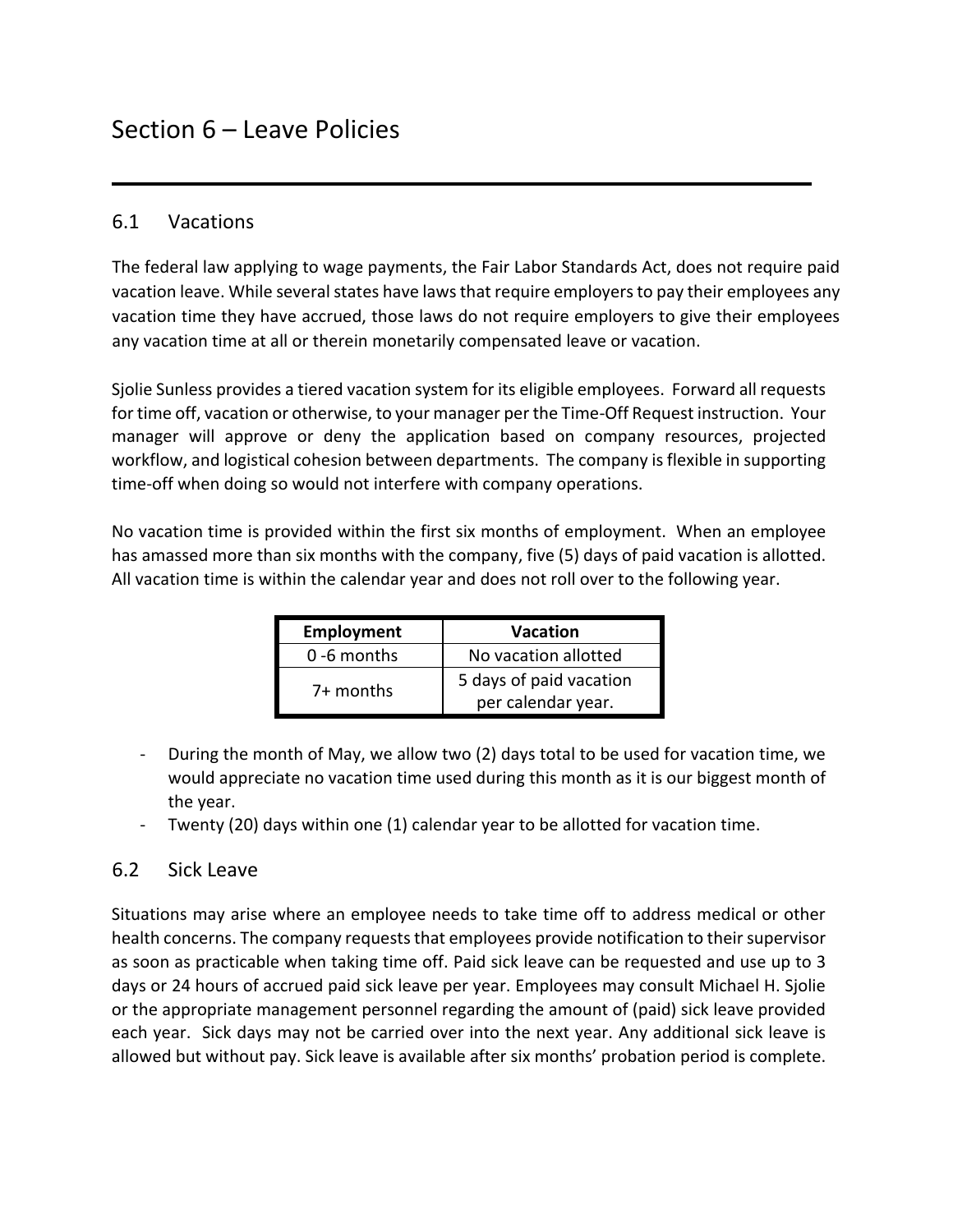#### 6.1 Vacations

The federal law applying to wage payments, the Fair Labor Standards Act, does not require paid vacation leave. While several states have laws that require employers to pay their employees any vacation time they have accrued, those laws do not require employers to give their employees any vacation time at all or therein monetarily compensated leave or vacation.

Sjolie Sunless provides a tiered vacation system for its eligible employees. Forward all requests for time off, vacation or otherwise, to your manager per the Time-Off Request instruction. Your manager will approve or deny the application based on company resources, projected workflow, and logistical cohesion between departments. The company is flexible in supporting time-off when doing so would not interfere with company operations.

No vacation time is provided within the first six months of employment. When an employee has amassed more than six months with the company, five (5) days of paid vacation is allotted. All vacation time is within the calendar year and does not roll over to the following year.

| Employment     | <b>Vacation</b>         |
|----------------|-------------------------|
| $0 - 6$ months | No vacation allotted    |
| 7+ months      | 5 days of paid vacation |
|                | per calendar year.      |

- During the month of May, we allow two (2) days total to be used for vacation time, we would appreciate no vacation time used during this month as it is our biggest month of the year.
- Twenty (20) days within one (1) calendar year to be allotted for vacation time.

#### 6.2 Sick Leave

Situations may arise where an employee needs to take time off to address medical or other health concerns. The company requests that employees provide notification to their supervisor as soon as practicable when taking time off. Paid sick leave can be requested and use up to 3 days or 24 hours of accrued paid sick leave per year. Employees may consult Michael H. Sjolie or the appropriate management personnel regarding the amount of (paid) sick leave provided each year. Sick days may not be carried over into the next year. Any additional sick leave is allowed but without pay. Sick leave is available after six months' probation period is complete.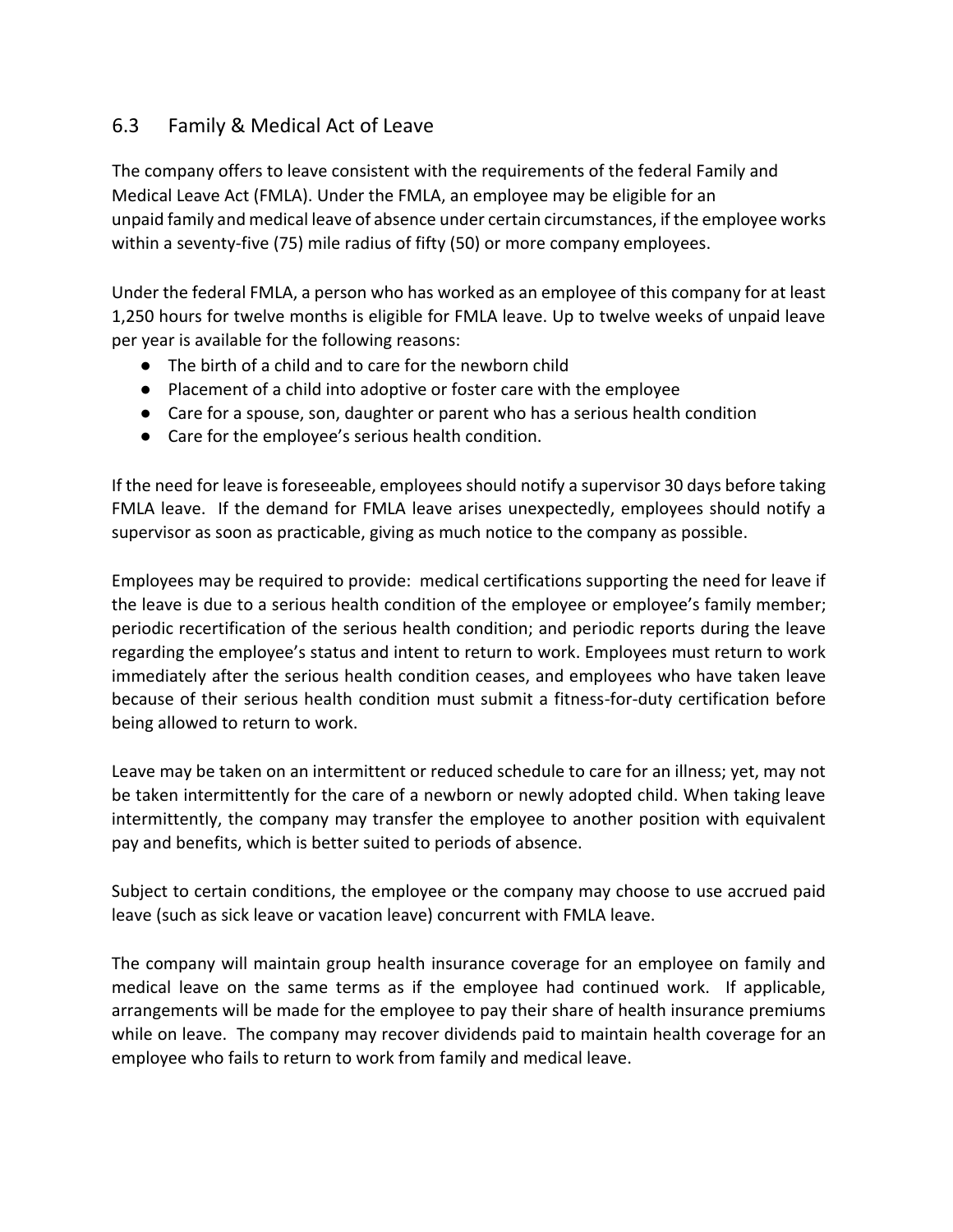# 6.3 Family & Medical Act of Leave

The company offers to leave consistent with the requirements of the federal Family and Medical Leave Act (FMLA). Under the FMLA, an employee may be eligible for an unpaid family and medical leave of absence under certain circumstances, if the employee works within a seventy-five (75) mile radius of fifty (50) or more company employees.

Under the federal FMLA, a person who has worked as an employee of this company for at least 1,250 hours for twelve months is eligible for FMLA leave. Up to twelve weeks of unpaid leave per year is available for the following reasons:

- The birth of a child and to care for the newborn child
- Placement of a child into adoptive or foster care with the employee
- Care for a spouse, son, daughter or parent who has a serious health condition
- Care for the employee's serious health condition.

If the need for leave is foreseeable, employees should notify a supervisor 30 days before taking FMLA leave. If the demand for FMLA leave arises unexpectedly, employees should notify a supervisor as soon as practicable, giving as much notice to the company as possible.

Employees may be required to provide: medical certifications supporting the need for leave if the leave is due to a serious health condition of the employee or employee's family member; periodic recertification of the serious health condition; and periodic reports during the leave regarding the employee's status and intent to return to work. Employees must return to work immediately after the serious health condition ceases, and employees who have taken leave because of their serious health condition must submit a fitness-for-duty certification before being allowed to return to work.

Leave may be taken on an intermittent or reduced schedule to care for an illness; yet, may not be taken intermittently for the care of a newborn or newly adopted child. When taking leave intermittently, the company may transfer the employee to another position with equivalent pay and benefits, which is better suited to periods of absence.

Subject to certain conditions, the employee or the company may choose to use accrued paid leave (such as sick leave or vacation leave) concurrent with FMLA leave.

The company will maintain group health insurance coverage for an employee on family and medical leave on the same terms as if the employee had continued work. If applicable, arrangements will be made for the employee to pay their share of health insurance premiums while on leave. The company may recover dividends paid to maintain health coverage for an employee who fails to return to work from family and medical leave.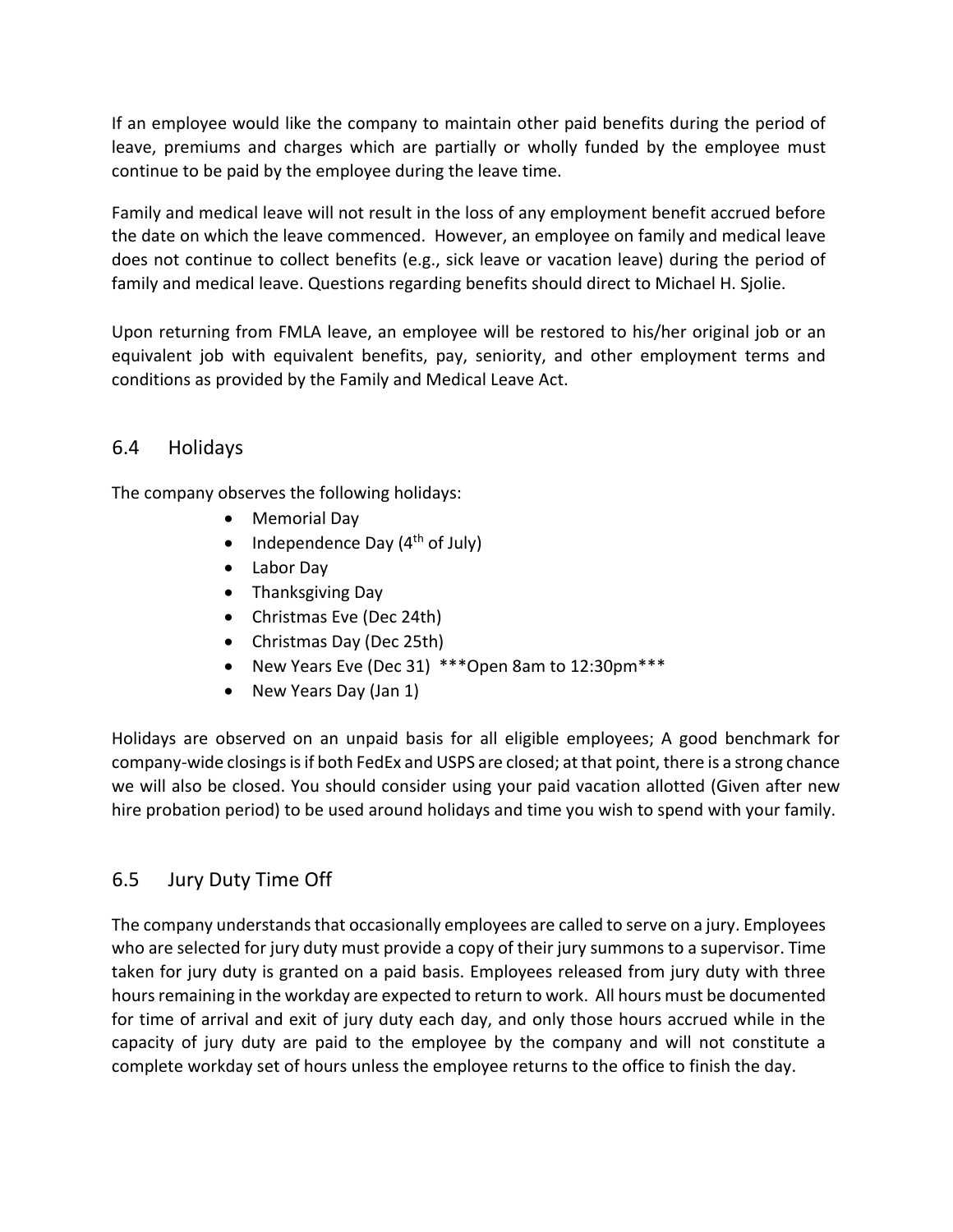If an employee would like the company to maintain other paid benefits during the period of leave, premiums and charges which are partially or wholly funded by the employee must continue to be paid by the employee during the leave time.

Family and medical leave will not result in the loss of any employment benefit accrued before the date on which the leave commenced. However, an employee on family and medical leave does not continue to collect benefits (e.g., sick leave or vacation leave) during the period of family and medical leave. Questions regarding benefits should direct to Michael H. Sjolie.

Upon returning from FMLA leave, an employee will be restored to his/her original job or an equivalent job with equivalent benefits, pay, seniority, and other employment terms and conditions as provided by the Family and Medical Leave Act.

# 6.4 Holidays

The company observes the following holidays:

- Memorial Day
- Independence Day  $(4<sup>th</sup>$  of July)
- Labor Day
- Thanksgiving Day
- Christmas Eve (Dec 24th)
- Christmas Day (Dec 25th)
- New Years Eve (Dec 31) \*\*\*Open 8am to 12:30pm\*\*\*
- New Years Day (Jan 1)

Holidays are observed on an unpaid basis for all eligible employees; A good benchmark for company-wide closings is if both FedEx and USPS are closed; at that point, there is a strong chance we will also be closed. You should consider using your paid vacation allotted (Given after new hire probation period) to be used around holidays and time you wish to spend with your family.

# 6.5 Jury Duty Time Off

The company understands that occasionally employees are called to serve on a jury. Employees who are selected for jury duty must provide a copy of their jury summons to a supervisor. Time taken for jury duty is granted on a paid basis. Employees released from jury duty with three hours remaining in the workday are expected to return to work. All hours must be documented for time of arrival and exit of jury duty each day, and only those hours accrued while in the capacity of jury duty are paid to the employee by the company and will not constitute a complete workday set of hours unless the employee returns to the office to finish the day.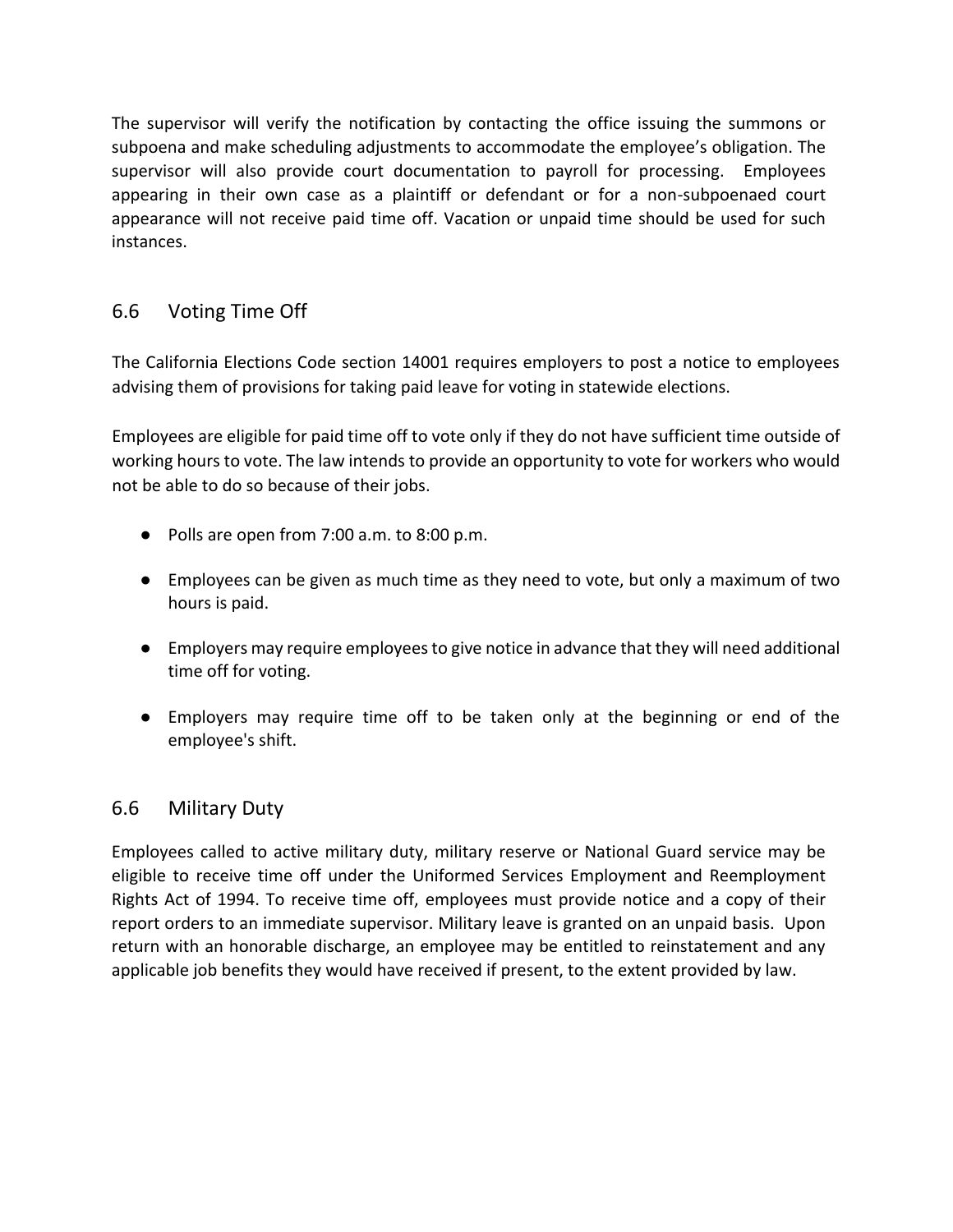The supervisor will verify the notification by contacting the office issuing the summons or subpoena and make scheduling adjustments to accommodate the employee's obligation. The supervisor will also provide court documentation to payroll for processing. Employees appearing in their own case as a plaintiff or defendant or for a non-subpoenaed court appearance will not receive paid time off. Vacation or unpaid time should be used for such instances.

# 6.6 Voting Time Off

The California Elections Code section 14001 requires employers to post a notice to employees advising them of provisions for taking paid leave for voting in statewide elections.

Employees are eligible for paid time off to vote only if they do not have sufficient time outside of working hours to vote. The law intends to provide an opportunity to vote for workers who would not be able to do so because of their jobs.

- Polls are open from 7:00 a.m. to 8:00 p.m.
- Employees can be given as much time as they need to vote, but only a maximum of two hours is paid.
- Employers may require employees to give notice in advance that they will need additional time off for voting.
- Employers may require time off to be taken only at the beginning or end of the employee's shift.

### 6.6 Military Duty

Employees called to active military duty, military reserve or National Guard service may be eligible to receive time off under the Uniformed Services Employment and Reemployment Rights Act of 1994. To receive time off, employees must provide notice and a copy of their report orders to an immediate supervisor. Military leave is granted on an unpaid basis. Upon return with an honorable discharge, an employee may be entitled to reinstatement and any applicable job benefits they would have received if present, to the extent provided by law.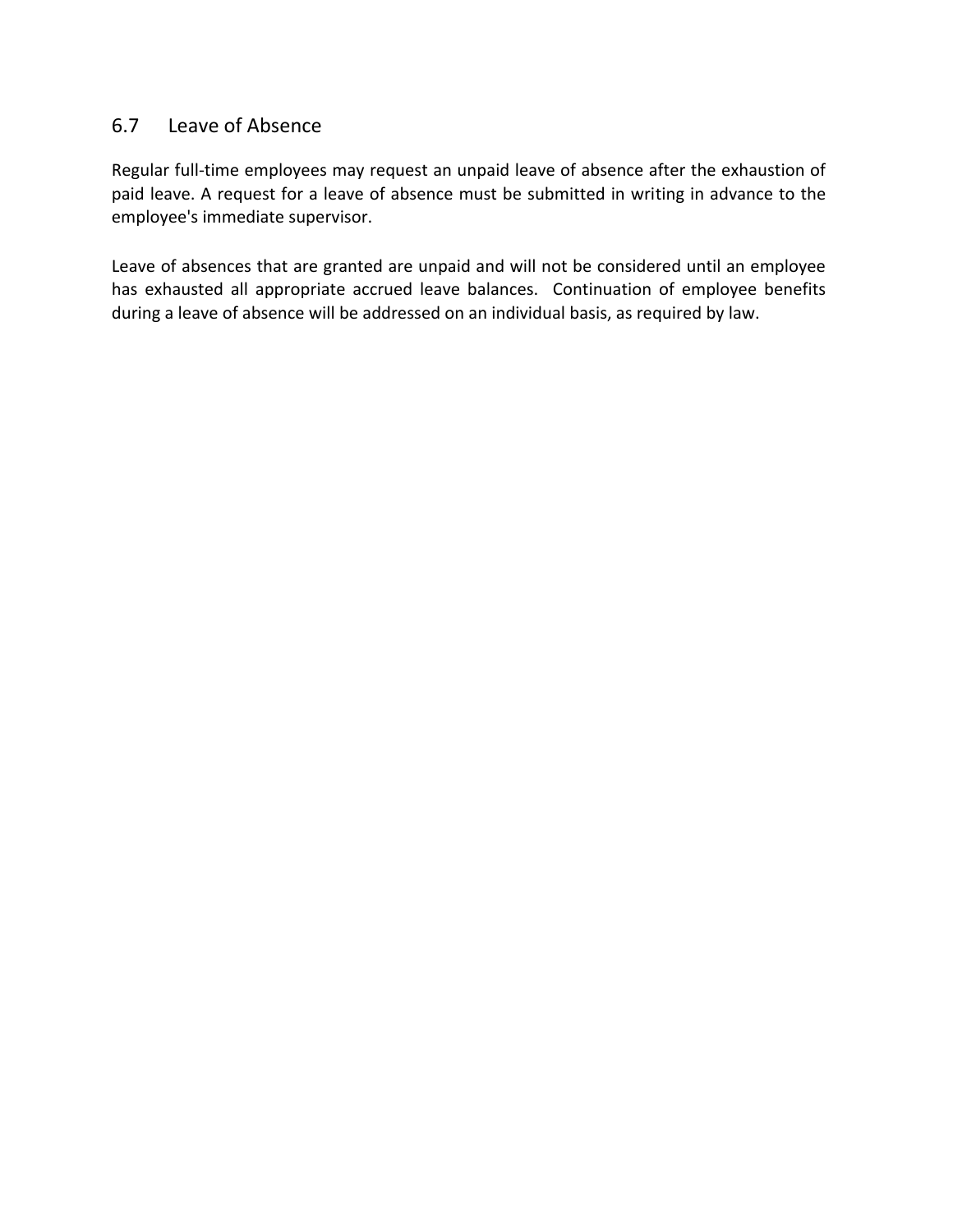### 6.7 Leave of Absence

Regular full-time employees may request an unpaid leave of absence after the exhaustion of paid leave. A request for a leave of absence must be submitted in writing in advance to the employee's immediate supervisor.

Leave of absences that are granted are unpaid and will not be considered until an employee has exhausted all appropriate accrued leave balances. Continuation of employee benefits during a leave of absence will be addressed on an individual basis, as required by law.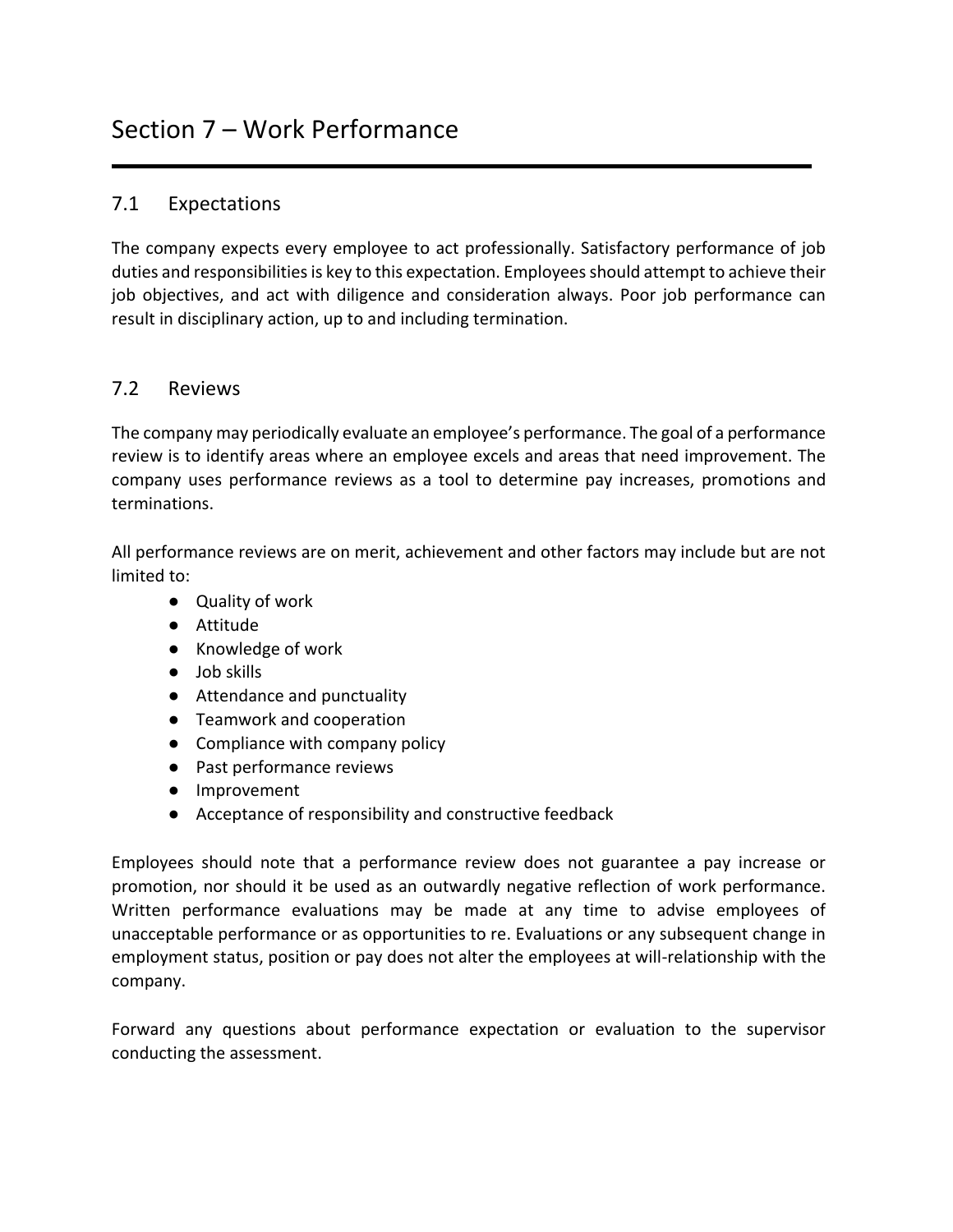### 7.1 Expectations

The company expects every employee to act professionally. Satisfactory performance of job duties and responsibilities is key to this expectation. Employees should attempt to achieve their job objectives, and act with diligence and consideration always. Poor job performance can result in disciplinary action, up to and including termination.

### 7.2 Reviews

The company may periodically evaluate an employee's performance. The goal of a performance review is to identify areas where an employee excels and areas that need improvement. The company uses performance reviews as a tool to determine pay increases, promotions and terminations.

All performance reviews are on merit, achievement and other factors may include but are not limited to:

- Quality of work
- Attitude
- Knowledge of work
- Job skills
- Attendance and punctuality
- Teamwork and cooperation
- Compliance with company policy
- Past performance reviews
- Improvement
- Acceptance of responsibility and constructive feedback

Employees should note that a performance review does not guarantee a pay increase or promotion, nor should it be used as an outwardly negative reflection of work performance. Written performance evaluations may be made at any time to advise employees of unacceptable performance or as opportunities to re. Evaluations or any subsequent change in employment status, position or pay does not alter the employees at will-relationship with the company.

Forward any questions about performance expectation or evaluation to the supervisor conducting the assessment.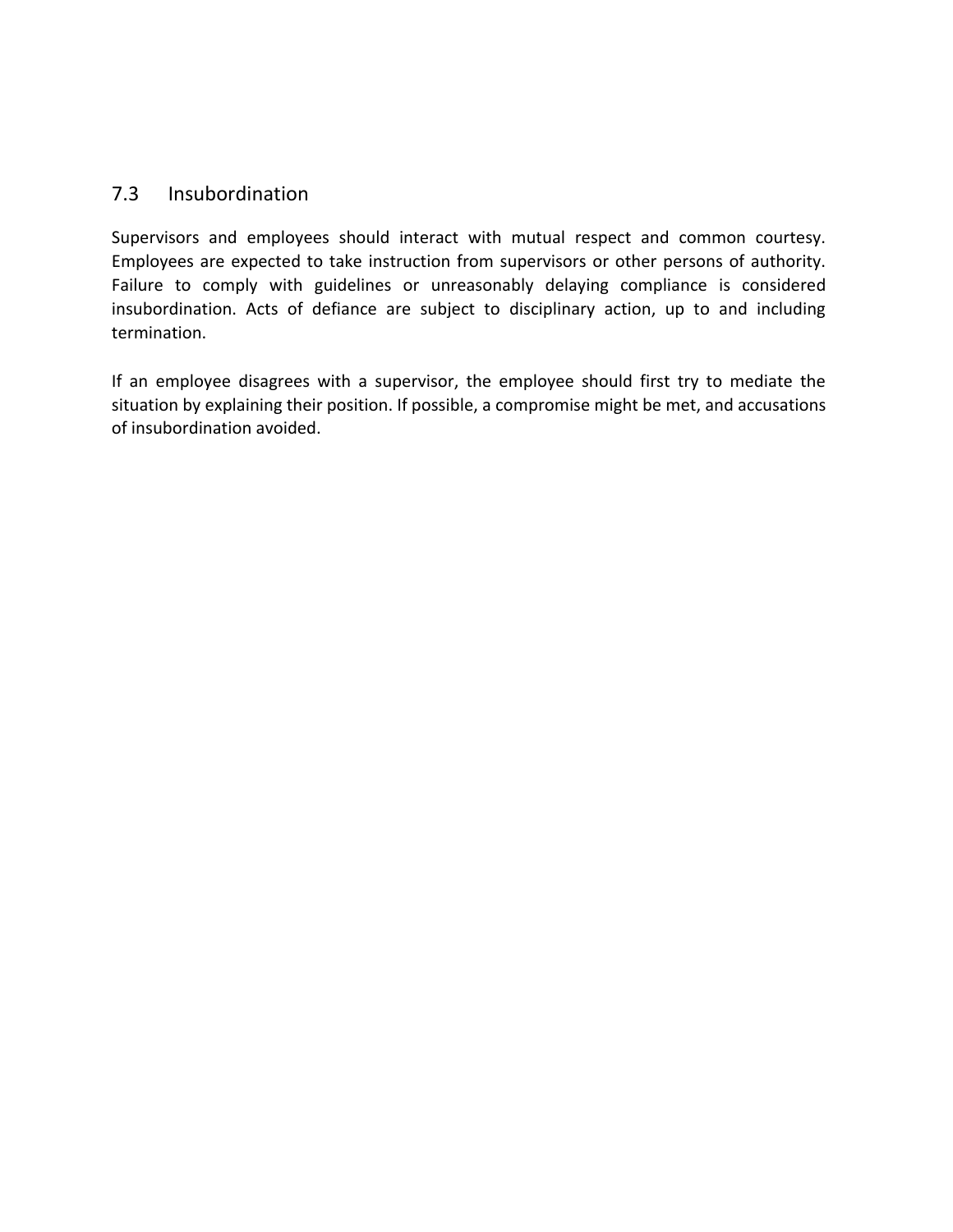# 7.3 Insubordination

Supervisors and employees should interact with mutual respect and common courtesy. Employees are expected to take instruction from supervisors or other persons of authority. Failure to comply with guidelines or unreasonably delaying compliance is considered insubordination. Acts of defiance are subject to disciplinary action, up to and including termination.

If an employee disagrees with a supervisor, the employee should first try to mediate the situation by explaining their position. If possible, a compromise might be met, and accusations of insubordination avoided.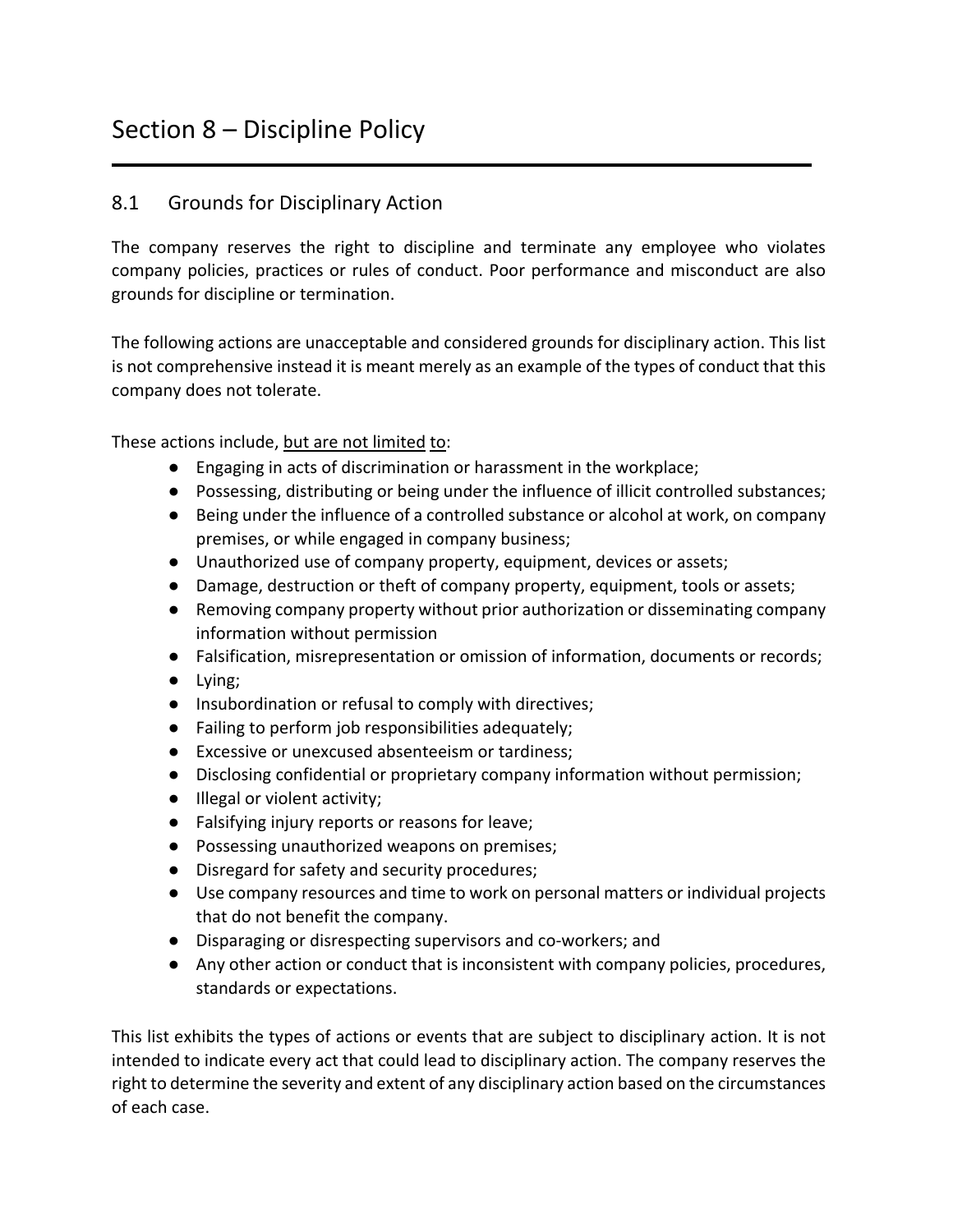### 8.1 Grounds for Disciplinary Action

The company reserves the right to discipline and terminate any employee who violates company policies, practices or rules of conduct. Poor performance and misconduct are also grounds for discipline or termination.

The following actions are unacceptable and considered grounds for disciplinary action. This list is not comprehensive instead it is meant merely as an example of the types of conduct that this company does not tolerate.

These actions include, but are not limited to:

- Engaging in acts of discrimination or harassment in the workplace;
- Possessing, distributing or being under the influence of illicit controlled substances;
- Being under the influence of a controlled substance or alcohol at work, on company premises, or while engaged in company business;
- Unauthorized use of company property, equipment, devices or assets;
- Damage, destruction or theft of company property, equipment, tools or assets;
- Removing company property without prior authorization or disseminating company information without permission
- Falsification, misrepresentation or omission of information, documents or records;
- Lying;
- Insubordination or refusal to comply with directives;
- Failing to perform job responsibilities adequately;
- Excessive or unexcused absenteeism or tardiness;
- Disclosing confidential or proprietary company information without permission;
- Illegal or violent activity;
- Falsifying injury reports or reasons for leave;
- Possessing unauthorized weapons on premises;
- Disregard for safety and security procedures;
- Use company resources and time to work on personal matters or individual projects that do not benefit the company.
- Disparaging or disrespecting supervisors and co-workers; and
- Any other action or conduct that is inconsistent with company policies, procedures, standards or expectations.

This list exhibits the types of actions or events that are subject to disciplinary action. It is not intended to indicate every act that could lead to disciplinary action. The company reserves the right to determine the severity and extent of any disciplinary action based on the circumstances of each case.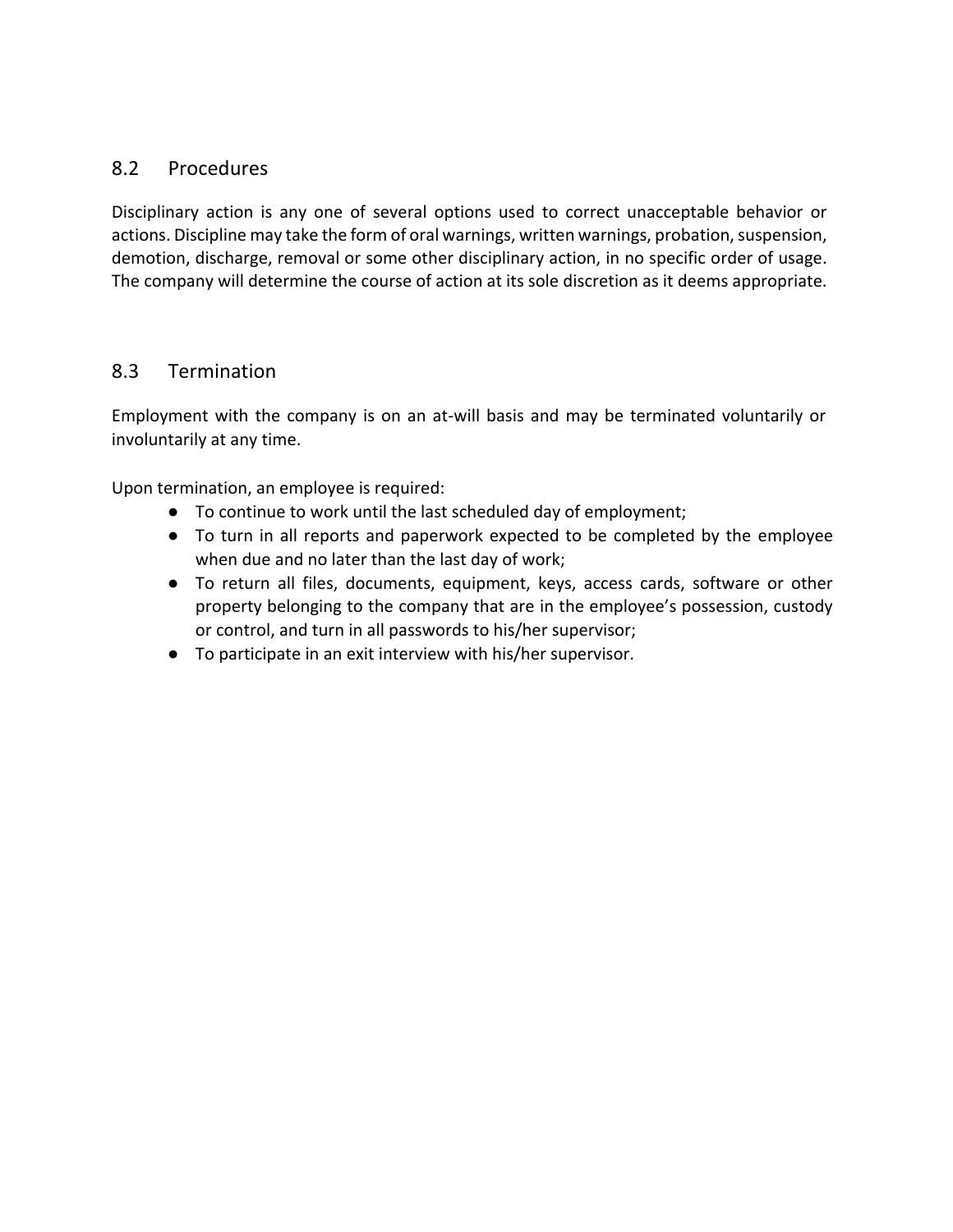### 8.2 Procedures

Disciplinary action is any one of several options used to correct unacceptable behavior or actions. Discipline may take the form of oral warnings, written warnings, probation, suspension, demotion, discharge, removal or some other disciplinary action, in no specific order of usage. The company will determine the course of action at its sole discretion as it deems appropriate.

# 8.3 Termination

Employment with the company is on an at-will basis and may be terminated voluntarily or involuntarily at any time.

Upon termination, an employee is required:

- To continue to work until the last scheduled day of employment;
- To turn in all reports and paperwork expected to be completed by the employee when due and no later than the last day of work;
- To return all files, documents, equipment, keys, access cards, software or other property belonging to the company that are in the employee's possession, custody or control, and turn in all passwords to his/her supervisor;
- To participate in an exit interview with his/her supervisor.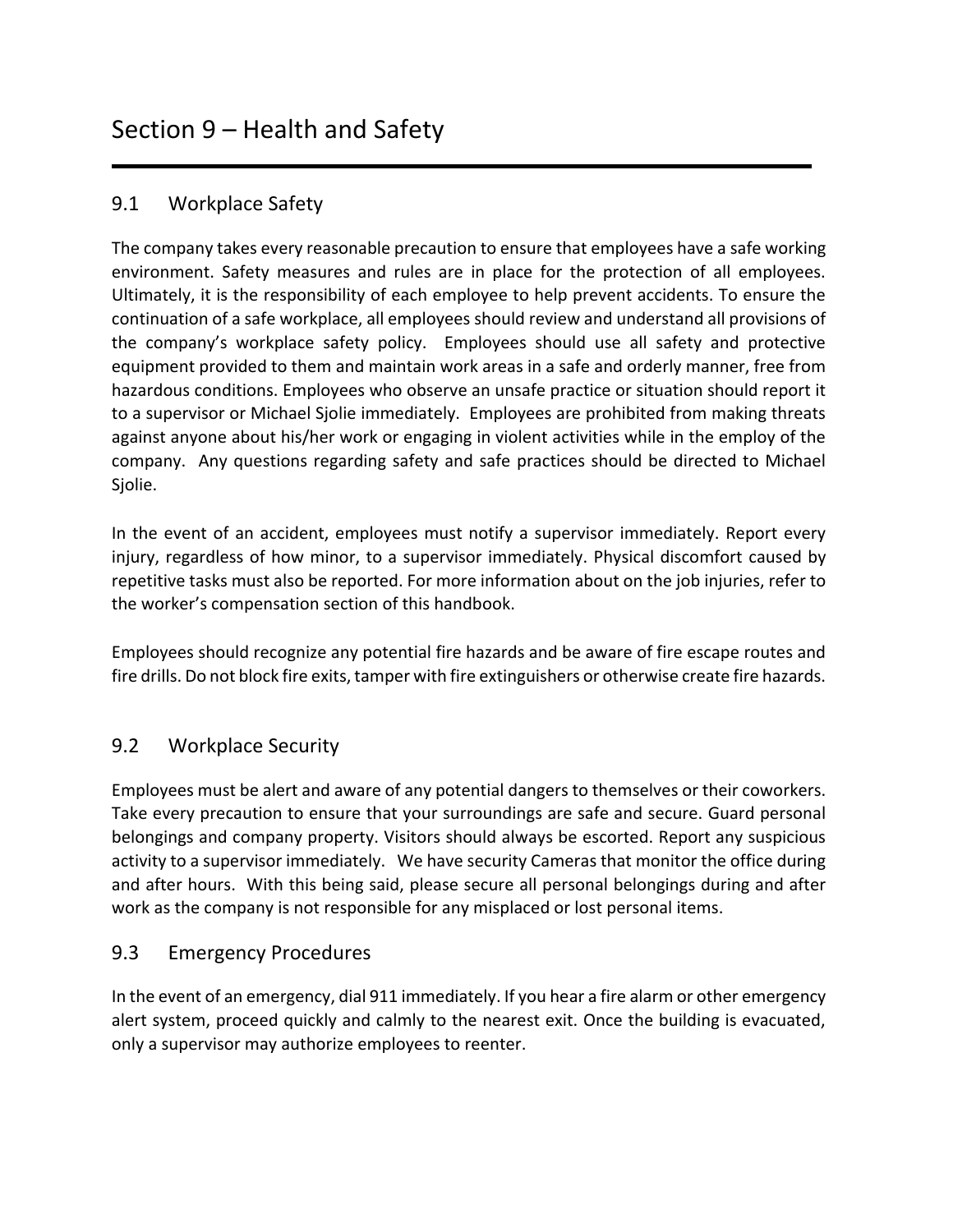# 9.1 Workplace Safety

The company takes every reasonable precaution to ensure that employees have a safe working environment. Safety measures and rules are in place for the protection of all employees. Ultimately, it is the responsibility of each employee to help prevent accidents. To ensure the continuation of a safe workplace, all employees should review and understand all provisions of the company's workplace safety policy. Employees should use all safety and protective equipment provided to them and maintain work areas in a safe and orderly manner, free from hazardous conditions. Employees who observe an unsafe practice or situation should report it to a supervisor or Michael Sjolie immediately. Employees are prohibited from making threats against anyone about his/her work or engaging in violent activities while in the employ of the company. Any questions regarding safety and safe practices should be directed to Michael Sjolie.

In the event of an accident, employees must notify a supervisor immediately. Report every injury, regardless of how minor, to a supervisor immediately. Physical discomfort caused by repetitive tasks must also be reported. For more information about on the job injuries, refer to the worker's compensation section of this handbook.

Employees should recognize any potential fire hazards and be aware of fire escape routes and fire drills. Do not block fire exits, tamper with fire extinguishers or otherwise create fire hazards.

# 9.2 Workplace Security

Employees must be alert and aware of any potential dangers to themselves or their coworkers. Take every precaution to ensure that your surroundings are safe and secure. Guard personal belongings and company property. Visitors should always be escorted. Report any suspicious activity to a supervisor immediately. We have security Cameras that monitor the office during and after hours. With this being said, please secure all personal belongings during and after work as the company is not responsible for any misplaced or lost personal items.

### 9.3 Emergency Procedures

In the event of an emergency, dial 911 immediately. If you hear a fire alarm or other emergency alert system, proceed quickly and calmly to the nearest exit. Once the building is evacuated, only a supervisor may authorize employees to reenter.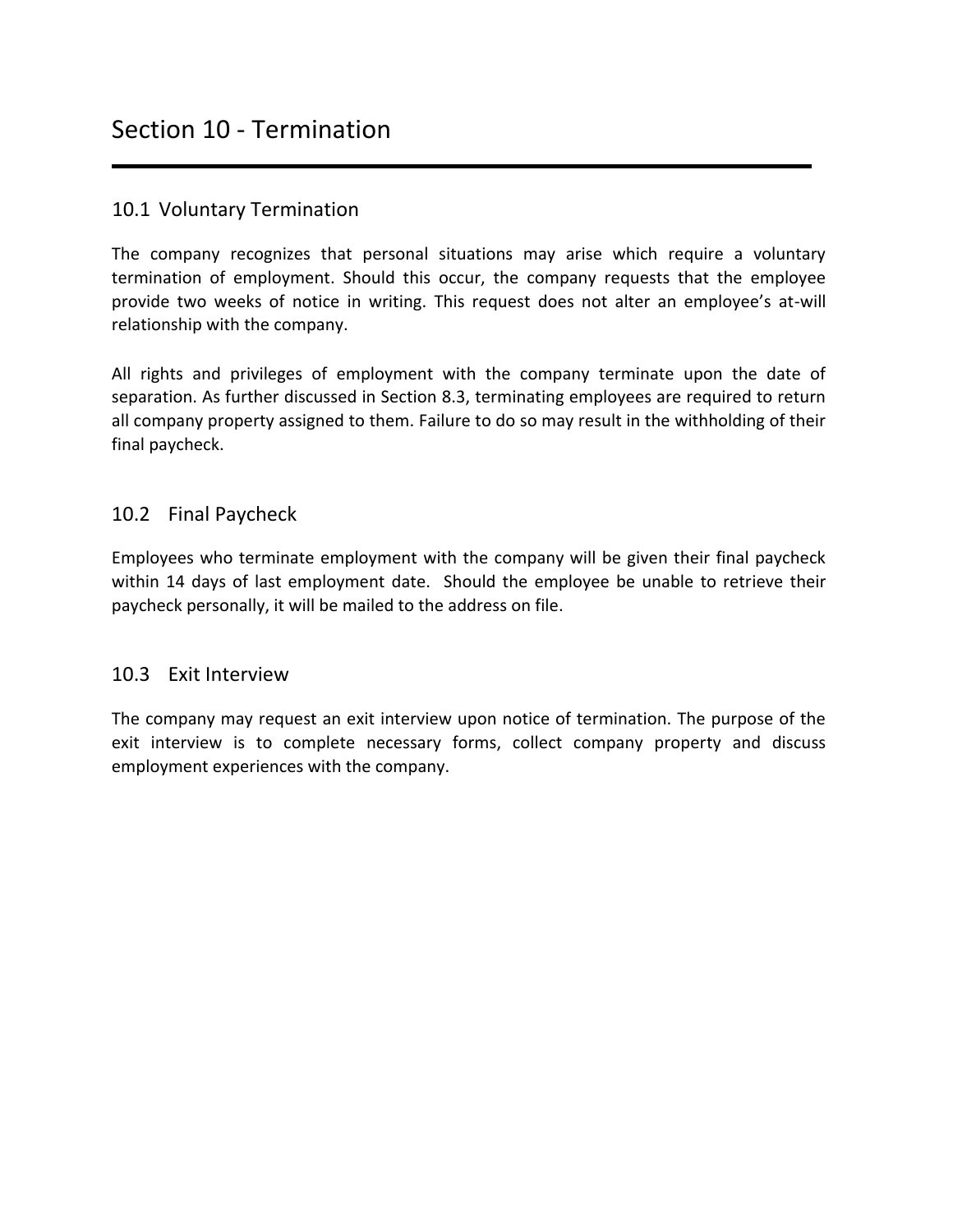### 10.1 Voluntary Termination

The company recognizes that personal situations may arise which require a voluntary termination of employment. Should this occur, the company requests that the employee provide two weeks of notice in writing. This request does not alter an employee's at-will relationship with the company.

All rights and privileges of employment with the company terminate upon the date of separation. As further discussed in Section 8.3, terminating employees are required to return all company property assigned to them. Failure to do so may result in the withholding of their final paycheck.

### 10.2 Final Paycheck

Employees who terminate employment with the company will be given their final paycheck within 14 days of last employment date. Should the employee be unable to retrieve their paycheck personally, it will be mailed to the address on file.

### 10.3 Exit Interview

The company may request an exit interview upon notice of termination. The purpose of the exit interview is to complete necessary forms, collect company property and discuss employment experiences with the company.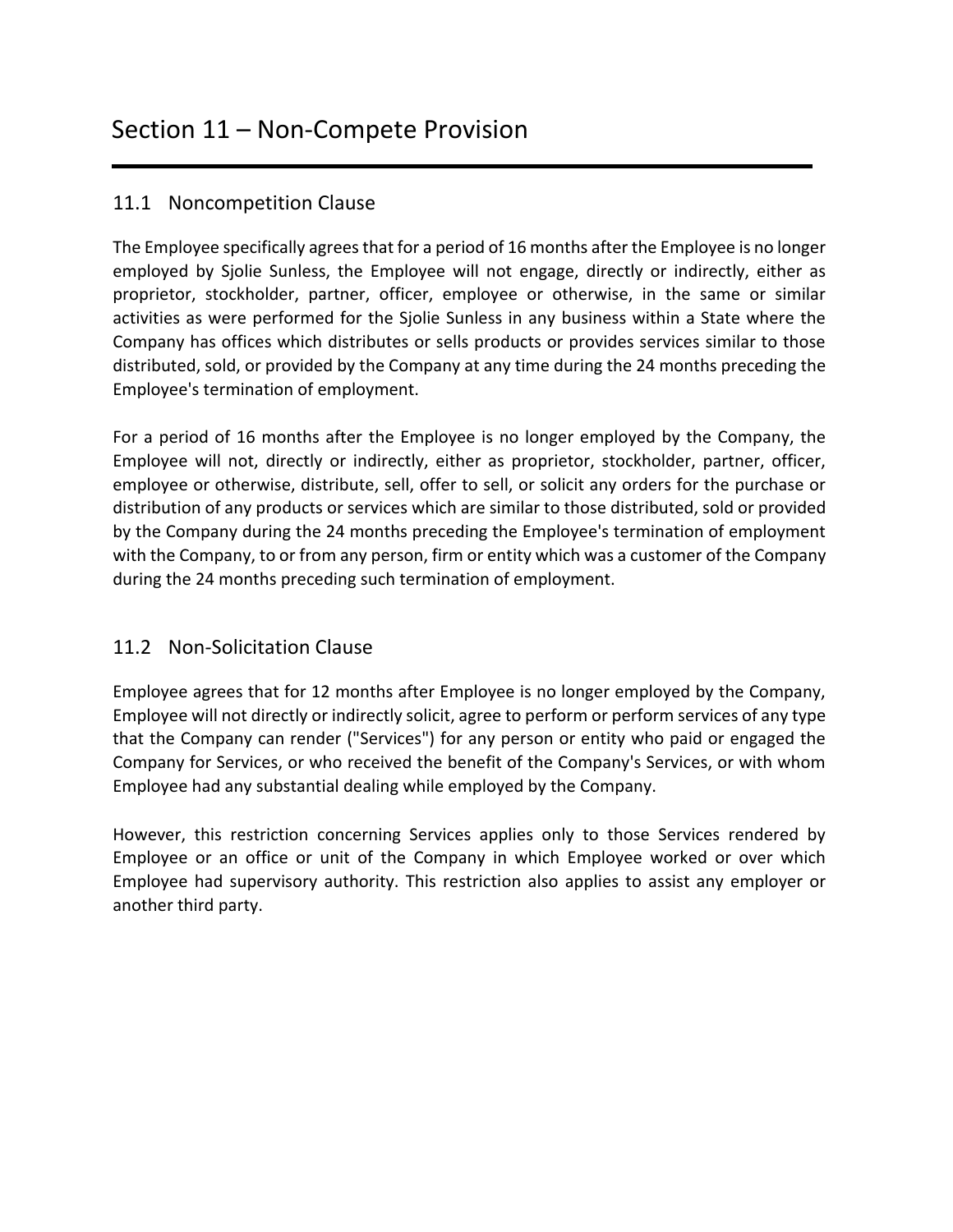### 11.1 Noncompetition Clause

The Employee specifically agrees that for a period of 16 months after the Employee is no longer employed by Sjolie Sunless, the Employee will not engage, directly or indirectly, either as proprietor, stockholder, partner, officer, employee or otherwise, in the same or similar activities as were performed for the Sjolie Sunless in any business within a State where the Company has offices which distributes or sells products or provides services similar to those distributed, sold, or provided by the Company at any time during the 24 months preceding the Employee's termination of employment.

For a period of 16 months after the Employee is no longer employed by the Company, the Employee will not, directly or indirectly, either as proprietor, stockholder, partner, officer, employee or otherwise, distribute, sell, offer to sell, or solicit any orders for the purchase or distribution of any products or services which are similar to those distributed, sold or provided by the Company during the 24 months preceding the Employee's termination of employment with the Company, to or from any person, firm or entity which was a customer of the Company during the 24 months preceding such termination of employment.

# 11.2 Non-Solicitation Clause

Employee agrees that for 12 months after Employee is no longer employed by the Company, Employee will not directly or indirectly solicit, agree to perform or perform services of any type that the Company can render ("Services") for any person or entity who paid or engaged the Company for Services, or who received the benefit of the Company's Services, or with whom Employee had any substantial dealing while employed by the Company.

However, this restriction concerning Services applies only to those Services rendered by Employee or an office or unit of the Company in which Employee worked or over which Employee had supervisory authority. This restriction also applies to assist any employer or another third party.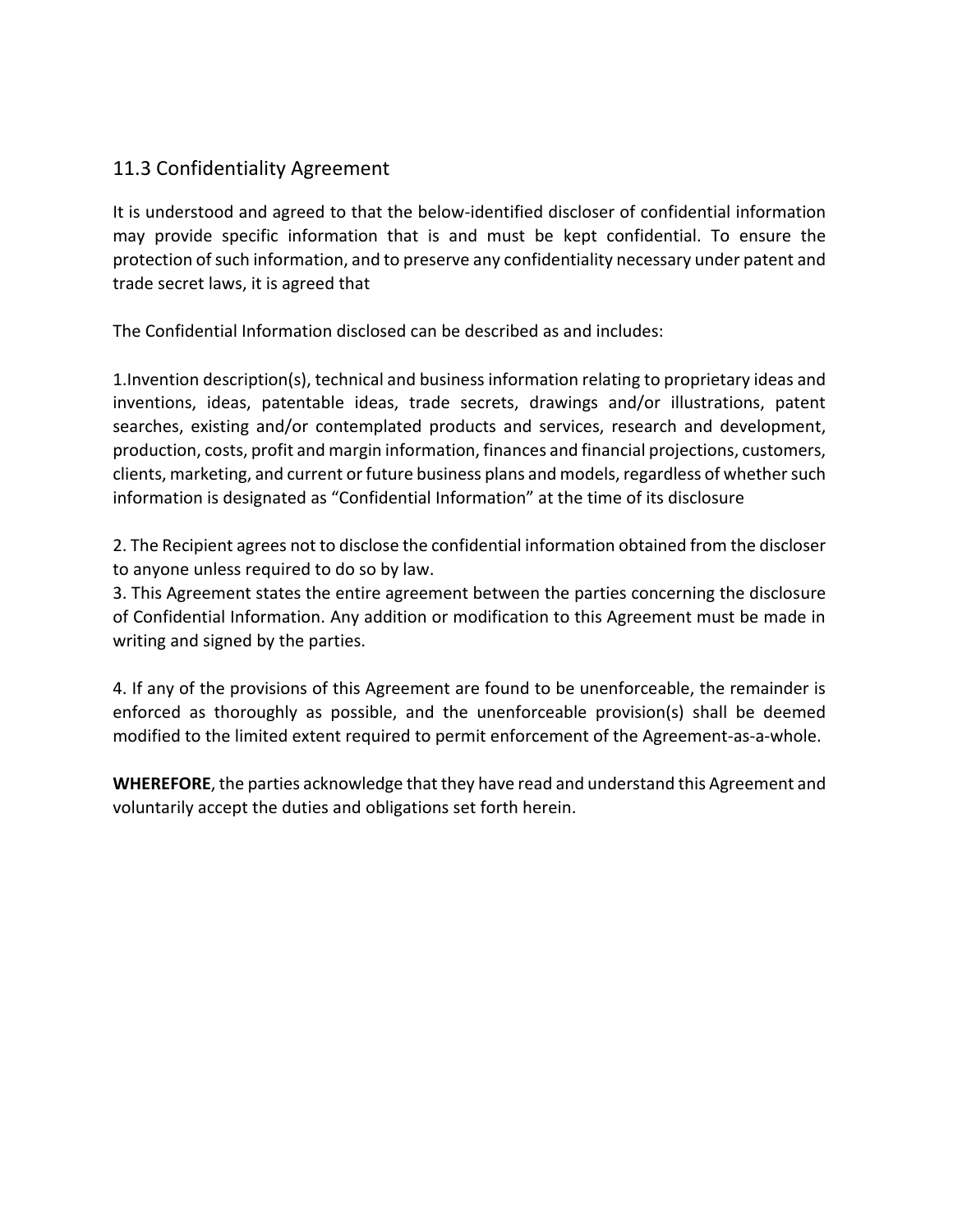# 11.3 Confidentiality Agreement

It is understood and agreed to that the below-identified discloser of confidential information may provide specific information that is and must be kept confidential. To ensure the protection of such information, and to preserve any confidentiality necessary under patent and trade secret laws, it is agreed that

The Confidential Information disclosed can be described as and includes:

1.Invention description(s), technical and business information relating to proprietary ideas and inventions, ideas, patentable ideas, trade secrets, drawings and/or illustrations, patent searches, existing and/or contemplated products and services, research and development, production, costs, profit and margin information, finances and financial projections, customers, clients, marketing, and current or future business plans and models, regardless of whether such information is designated as "Confidential Information" at the time of its disclosure

2. The Recipient agrees not to disclose the confidential information obtained from the discloser to anyone unless required to do so by law.

3. This Agreement states the entire agreement between the parties concerning the disclosure of Confidential Information. Any addition or modification to this Agreement must be made in writing and signed by the parties.

4. If any of the provisions of this Agreement are found to be unenforceable, the remainder is enforced as thoroughly as possible, and the unenforceable provision(s) shall be deemed modified to the limited extent required to permit enforcement of the Agreement-as-a-whole.

**WHEREFORE**, the parties acknowledge that they have read and understand this Agreement and voluntarily accept the duties and obligations set forth herein.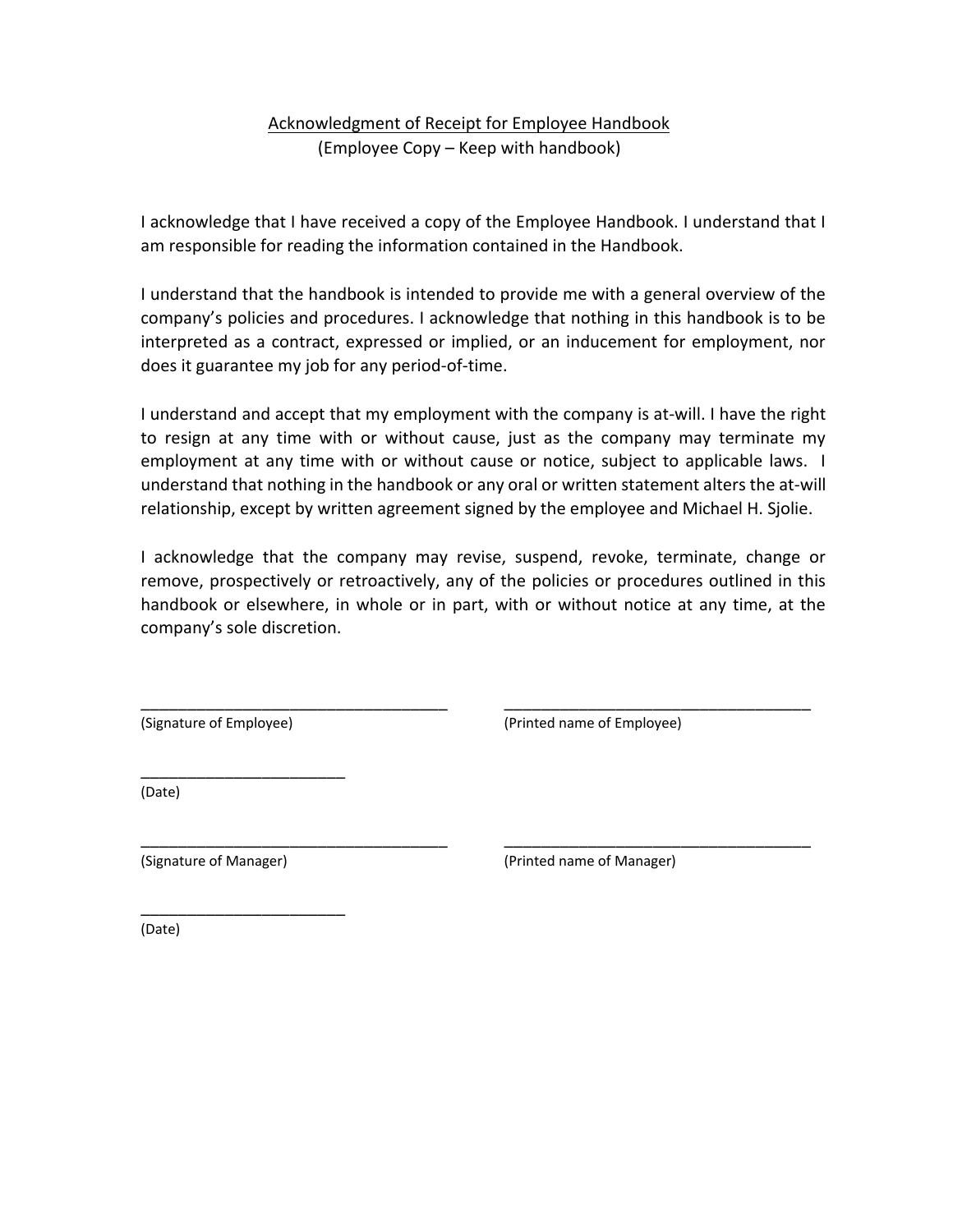# Acknowledgment of Receipt for Employee Handbook (Employee Copy – Keep with handbook)

I acknowledge that I have received a copy of the Employee Handbook. I understand that I am responsible for reading the information contained in the Handbook.

I understand that the handbook is intended to provide me with a general overview of the company's policies and procedures. I acknowledge that nothing in this handbook is to be interpreted as a contract, expressed or implied, or an inducement for employment, nor does it guarantee my job for any period-of-time.

I understand and accept that my employment with the company is at-will. I have the right to resign at any time with or without cause, just as the company may terminate my employment at any time with or without cause or notice, subject to applicable laws. I understand that nothing in the handbook or any oral or written statement alters the at-will relationship, except by written agreement signed by the employee and Michael H. Sjolie.

I acknowledge that the company may revise, suspend, revoke, terminate, change or remove, prospectively or retroactively, any of the policies or procedures outlined in this handbook or elsewhere, in whole or in part, with or without notice at any time, at the company's sole discretion.

\_\_\_\_\_\_\_\_\_\_\_\_\_\_\_\_\_\_\_\_\_\_\_\_\_\_\_\_\_\_\_\_\_ \_\_\_\_\_\_\_\_\_\_\_\_\_\_\_\_\_\_\_\_\_\_\_\_\_\_\_\_\_\_\_\_\_

\_\_\_\_\_\_\_\_\_\_\_\_\_\_\_\_\_\_\_\_\_\_

\_\_\_\_\_\_\_\_\_\_\_\_\_\_\_\_\_\_\_\_\_\_

(Signature of Employee) (Printed name of Employee)

(Date)

\_\_\_\_\_\_\_\_\_\_\_\_\_\_\_\_\_\_\_\_\_\_\_\_\_\_\_\_\_\_\_\_\_ \_\_\_\_\_\_\_\_\_\_\_\_\_\_\_\_\_\_\_\_\_\_\_\_\_\_\_\_\_\_\_\_\_ (Signature of Manager) (Printed name of Manager)

(Date)